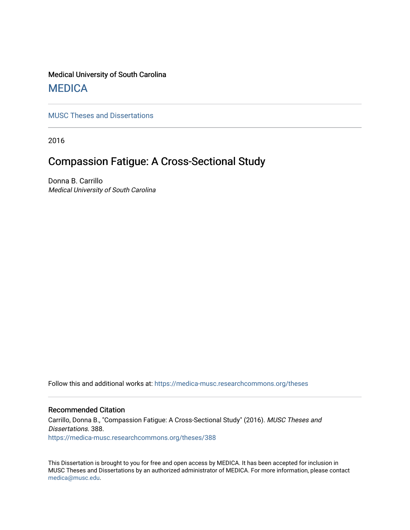## Medical University of South Carolina **MEDICA**

[MUSC Theses and Dissertations](https://medica-musc.researchcommons.org/theses)

2016

# Compassion Fatigue: A Cross-Sectional Study

Donna B. Carrillo Medical University of South Carolina

Follow this and additional works at: [https://medica-musc.researchcommons.org/theses](https://medica-musc.researchcommons.org/theses?utm_source=medica-musc.researchcommons.org%2Ftheses%2F388&utm_medium=PDF&utm_campaign=PDFCoverPages) 

## Recommended Citation

Carrillo, Donna B., "Compassion Fatigue: A Cross-Sectional Study" (2016). MUSC Theses and Dissertations. 388. [https://medica-musc.researchcommons.org/theses/388](https://medica-musc.researchcommons.org/theses/388?utm_source=medica-musc.researchcommons.org%2Ftheses%2F388&utm_medium=PDF&utm_campaign=PDFCoverPages) 

This Dissertation is brought to you for free and open access by MEDICA. It has been accepted for inclusion in MUSC Theses and Dissertations by an authorized administrator of MEDICA. For more information, please contact [medica@musc.edu.](mailto:medica@musc.edu)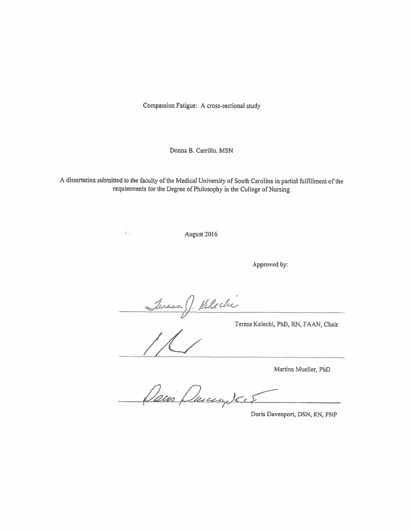Compassion Fatigue: A cross-sectional study

Donna B. Carrillo, MSN

A dissertation submitted to the faculty of the Medical University of South Carolina in partial fulfillment of the requirements for the Degree of Philosophy in the College of Nursing

August 2016

Approved by:

Teresa J. Kelechi

Teresa Kelechi, PhD, RN, FAAN, Chair

¥.

Martina Mueller, PhD

Dans Ducasy Jack

Doris Davenport, DSN, RN, PNP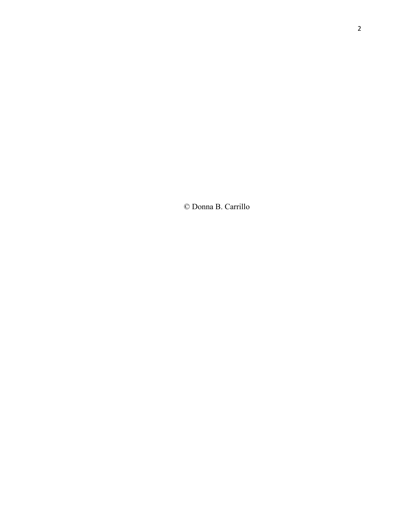© Donna B. Carrillo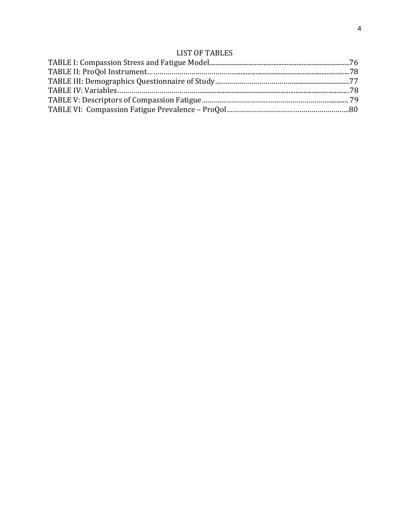## LIST OF TABLES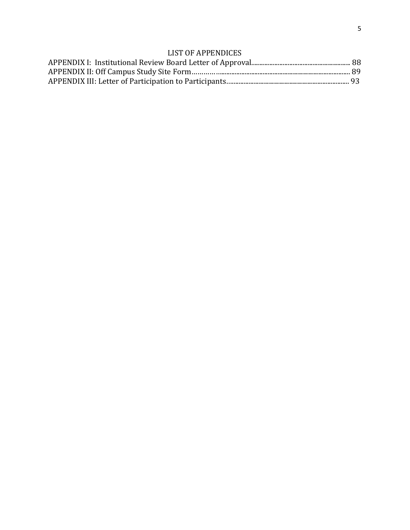## LIST OF APPENDICES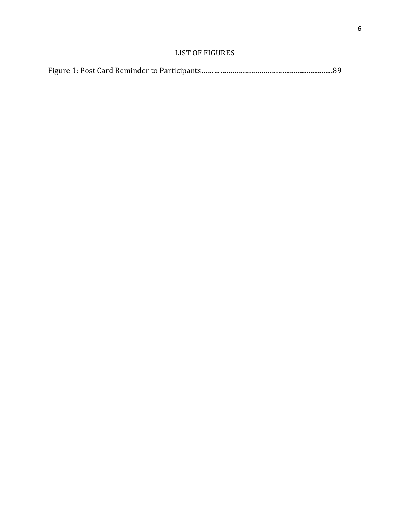## LIST OF FIGURES

|--|--|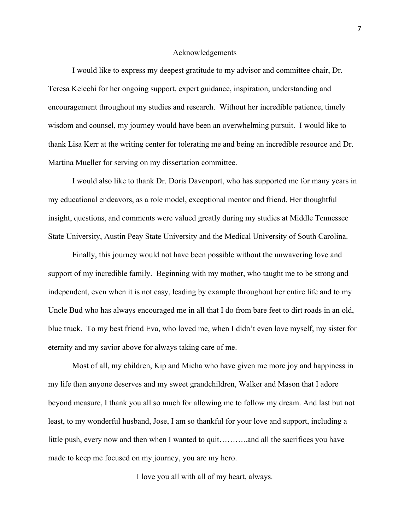#### Acknowledgements

I would like to express my deepest gratitude to my advisor and committee chair, Dr. Teresa Kelechi for her ongoing support, expert guidance, inspiration, understanding and encouragement throughout my studies and research. Without her incredible patience, timely wisdom and counsel, my journey would have been an overwhelming pursuit. I would like to thank Lisa Kerr at the writing center for tolerating me and being an incredible resource and Dr. Martina Mueller for serving on my dissertation committee.

I would also like to thank Dr. Doris Davenport, who has supported me for many years in my educational endeavors, as a role model, exceptional mentor and friend. Her thoughtful insight, questions, and comments were valued greatly during my studies at Middle Tennessee State University, Austin Peay State University and the Medical University of South Carolina.

Finally, this journey would not have been possible without the unwavering love and support of my incredible family. Beginning with my mother, who taught me to be strong and independent, even when it is not easy, leading by example throughout her entire life and to my Uncle Bud who has always encouraged me in all that I do from bare feet to dirt roads in an old, blue truck. To my best friend Eva, who loved me, when I didn't even love myself, my sister for eternity and my savior above for always taking care of me.

Most of all, my children, Kip and Micha who have given me more joy and happiness in my life than anyone deserves and my sweet grandchildren, Walker and Mason that I adore beyond measure, I thank you all so much for allowing me to follow my dream. And last but not least, to my wonderful husband, Jose, I am so thankful for your love and support, including a little push, every now and then when I wanted to quit………..and all the sacrifices you have made to keep me focused on my journey, you are my hero.

I love you all with all of my heart, always.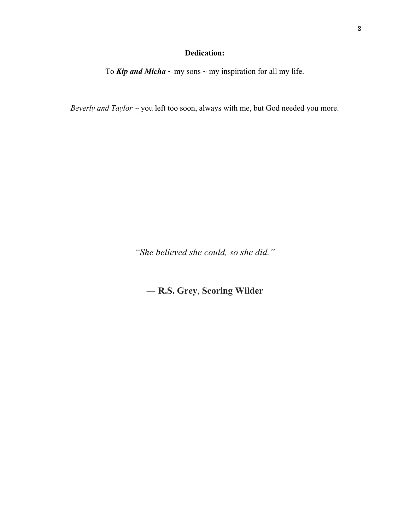## **Dedication:**

To *Kip and Micha*  $\sim$  my sons  $\sim$  my inspiration for all my life.

*Beverly and Taylor* ~ you left too soon, always with me, but God needed you more.

*"She believed she could, so she did."*

― **R.S. Grey**, **Scoring Wilder**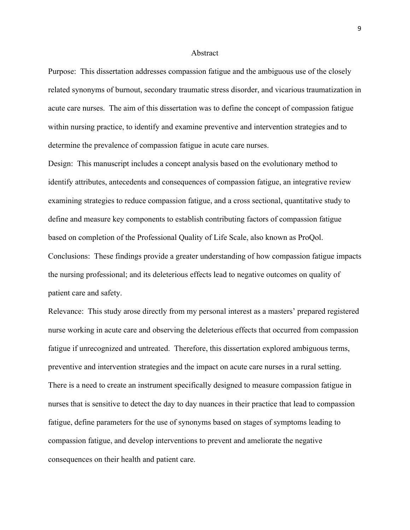#### Abstract

Purpose: This dissertation addresses compassion fatigue and the ambiguous use of the closely related synonyms of burnout, secondary traumatic stress disorder, and vicarious traumatization in acute care nurses. The aim of this dissertation was to define the concept of compassion fatigue within nursing practice, to identify and examine preventive and intervention strategies and to determine the prevalence of compassion fatigue in acute care nurses.

Design: This manuscript includes a concept analysis based on the evolutionary method to identify attributes, antecedents and consequences of compassion fatigue, an integrative review examining strategies to reduce compassion fatigue, and a cross sectional, quantitative study to define and measure key components to establish contributing factors of compassion fatigue based on completion of the Professional Quality of Life Scale, also known as ProQol. Conclusions: These findings provide a greater understanding of how compassion fatigue impacts the nursing professional; and its deleterious effects lead to negative outcomes on quality of patient care and safety.

Relevance: This study arose directly from my personal interest as a masters' prepared registered nurse working in acute care and observing the deleterious effects that occurred from compassion fatigue if unrecognized and untreated. Therefore, this dissertation explored ambiguous terms, preventive and intervention strategies and the impact on acute care nurses in a rural setting. There is a need to create an instrument specifically designed to measure compassion fatigue in nurses that is sensitive to detect the day to day nuances in their practice that lead to compassion fatigue, define parameters for the use of synonyms based on stages of symptoms leading to compassion fatigue, and develop interventions to prevent and ameliorate the negative consequences on their health and patient care.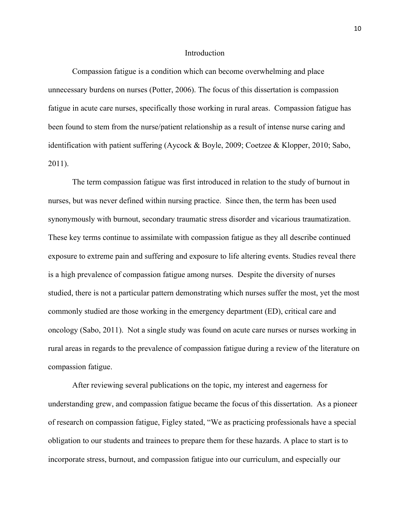#### Introduction

Compassion fatigue is a condition which can become overwhelming and place unnecessary burdens on nurses (Potter, 2006). The focus of this dissertation is compassion fatigue in acute care nurses, specifically those working in rural areas. Compassion fatigue has been found to stem from the nurse/patient relationship as a result of intense nurse caring and identification with patient suffering (Aycock & Boyle, 2009; Coetzee & Klopper, 2010; Sabo, 2011).

The term compassion fatigue was first introduced in relation to the study of burnout in nurses, but was never defined within nursing practice. Since then, the term has been used synonymously with burnout, secondary traumatic stress disorder and vicarious traumatization. These key terms continue to assimilate with compassion fatigue as they all describe continued exposure to extreme pain and suffering and exposure to life altering events. Studies reveal there is a high prevalence of compassion fatigue among nurses. Despite the diversity of nurses studied, there is not a particular pattern demonstrating which nurses suffer the most, yet the most commonly studied are those working in the emergency department (ED), critical care and oncology (Sabo, 2011). Not a single study was found on acute care nurses or nurses working in rural areas in regards to the prevalence of compassion fatigue during a review of the literature on compassion fatigue.

After reviewing several publications on the topic, my interest and eagerness for understanding grew, and compassion fatigue became the focus of this dissertation. As a pioneer of research on compassion fatigue, Figley stated, "We as practicing professionals have a special obligation to our students and trainees to prepare them for these hazards. A place to start is to incorporate stress, burnout, and compassion fatigue into our curriculum, and especially our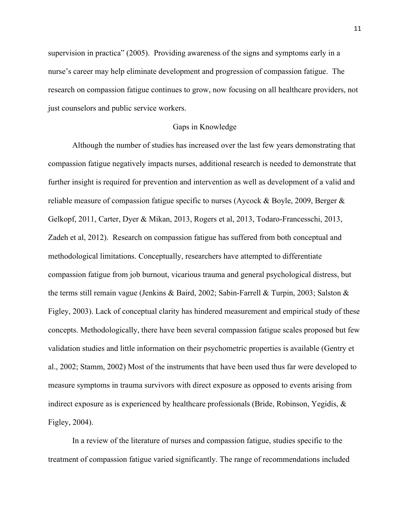supervision in practica" (2005). Providing awareness of the signs and symptoms early in a nurse's career may help eliminate development and progression of compassion fatigue. The research on compassion fatigue continues to grow, now focusing on all healthcare providers, not just counselors and public service workers.

## Gaps in Knowledge

Although the number of studies has increased over the last few years demonstrating that compassion fatigue negatively impacts nurses, additional research is needed to demonstrate that further insight is required for prevention and intervention as well as development of a valid and reliable measure of compassion fatigue specific to nurses (Aycock & Boyle, 2009, Berger & Gelkopf, 2011, Carter, Dyer & Mikan, 2013, Rogers et al, 2013, Todaro-Francesschi, 2013, Zadeh et al, 2012). Research on compassion fatigue has suffered from both conceptual and methodological limitations. Conceptually, researchers have attempted to differentiate compassion fatigue from job burnout, vicarious trauma and general psychological distress, but the terms still remain vague (Jenkins & Baird, 2002; Sabin-Farrell & Turpin, 2003; Salston & Figley, 2003). Lack of conceptual clarity has hindered measurement and empirical study of these concepts. Methodologically, there have been several compassion fatigue scales proposed but few validation studies and little information on their psychometric properties is available (Gentry et al., 2002; Stamm, 2002) Most of the instruments that have been used thus far were developed to measure symptoms in trauma survivors with direct exposure as opposed to events arising from indirect exposure as is experienced by healthcare professionals (Bride, Robinson, Yegidis, & Figley, 2004).

In a review of the literature of nurses and compassion fatigue, studies specific to the treatment of compassion fatigue varied significantly. The range of recommendations included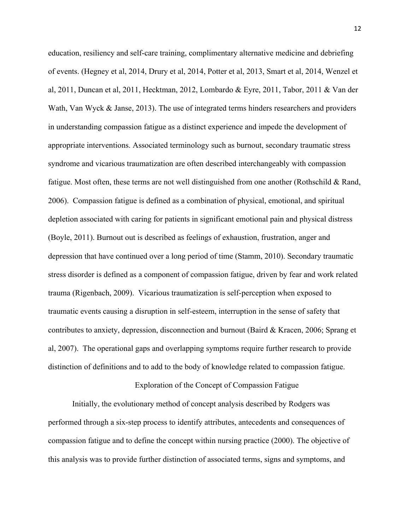education, resiliency and self-care training, complimentary alternative medicine and debriefing of events. (Hegney et al, 2014, Drury et al, 2014, Potter et al, 2013, Smart et al, 2014, Wenzel et al, 2011, Duncan et al, 2011, Hecktman, 2012, Lombardo & Eyre, 2011, Tabor, 2011 & Van der Wath, Van Wyck & Janse, 2013). The use of integrated terms hinders researchers and providers in understanding compassion fatigue as a distinct experience and impede the development of appropriate interventions. Associated terminology such as burnout, secondary traumatic stress syndrome and vicarious traumatization are often described interchangeably with compassion fatigue. Most often, these terms are not well distinguished from one another (Rothschild & Rand, 2006). Compassion fatigue is defined as a combination of physical, emotional, and spiritual depletion associated with caring for patients in significant emotional pain and physical distress (Boyle, 2011). Burnout out is described as feelings of exhaustion, frustration, anger and depression that have continued over a long period of time (Stamm, 2010). Secondary traumatic stress disorder is defined as a component of compassion fatigue, driven by fear and work related trauma (Rigenbach, 2009). Vicarious traumatization is self-perception when exposed to traumatic events causing a disruption in self-esteem, interruption in the sense of safety that contributes to anxiety, depression, disconnection and burnout (Baird & Kracen, 2006; Sprang et al, 2007). The operational gaps and overlapping symptoms require further research to provide distinction of definitions and to add to the body of knowledge related to compassion fatigue.

#### Exploration of the Concept of Compassion Fatigue

Initially, the evolutionary method of concept analysis described by Rodgers was performed through a six-step process to identify attributes, antecedents and consequences of compassion fatigue and to define the concept within nursing practice (2000). The objective of this analysis was to provide further distinction of associated terms, signs and symptoms, and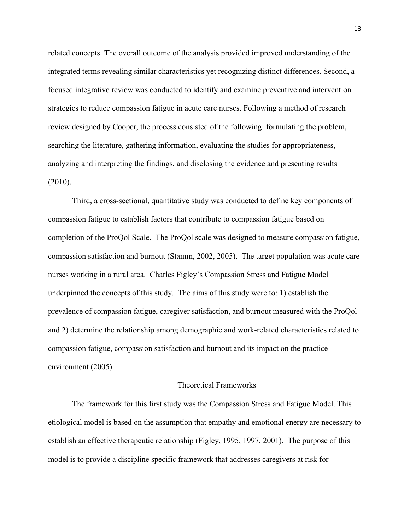related concepts. The overall outcome of the analysis provided improved understanding of the integrated terms revealing similar characteristics yet recognizing distinct differences. Second, a focused integrative review was conducted to identify and examine preventive and intervention strategies to reduce compassion fatigue in acute care nurses. Following a method of research review designed by Cooper, the process consisted of the following: formulating the problem, searching the literature, gathering information, evaluating the studies for appropriateness, analyzing and interpreting the findings, and disclosing the evidence and presenting results (2010).

Third, a cross-sectional, quantitative study was conducted to define key components of compassion fatigue to establish factors that contribute to compassion fatigue based on completion of the ProQol Scale. The ProQol scale was designed to measure compassion fatigue, compassion satisfaction and burnout (Stamm, 2002, 2005). The target population was acute care nurses working in a rural area. Charles Figley's Compassion Stress and Fatigue Model underpinned the concepts of this study. The aims of this study were to: 1) establish the prevalence of compassion fatigue, caregiver satisfaction, and burnout measured with the ProQol and 2) determine the relationship among demographic and work-related characteristics related to compassion fatigue, compassion satisfaction and burnout and its impact on the practice environment (2005).

### Theoretical Frameworks

The framework for this first study was the Compassion Stress and Fatigue Model. This etiological model is based on the assumption that empathy and emotional energy are necessary to establish an effective therapeutic relationship (Figley, 1995, 1997, 2001). The purpose of this model is to provide a discipline specific framework that addresses caregivers at risk for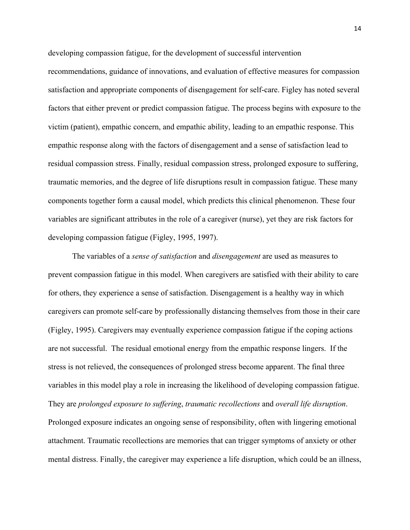developing compassion fatigue, for the development of successful intervention

recommendations, guidance of innovations, and evaluation of effective measures for compassion satisfaction and appropriate components of disengagement for self-care. Figley has noted several factors that either prevent or predict compassion fatigue. The process begins with exposure to the victim (patient), empathic concern, and empathic ability, leading to an empathic response. This empathic response along with the factors of disengagement and a sense of satisfaction lead to residual compassion stress. Finally, residual compassion stress, prolonged exposure to suffering, traumatic memories, and the degree of life disruptions result in compassion fatigue. These many components together form a causal model, which predicts this clinical phenomenon. These four variables are significant attributes in the role of a caregiver (nurse), yet they are risk factors for developing compassion fatigue (Figley, 1995, 1997).

The variables of a *sense of satisfaction* and *disengagement* are used as measures to prevent compassion fatigue in this model. When caregivers are satisfied with their ability to care for others, they experience a sense of satisfaction. Disengagement is a healthy way in which caregivers can promote self-care by professionally distancing themselves from those in their care (Figley, 1995). Caregivers may eventually experience compassion fatigue if the coping actions are not successful. The residual emotional energy from the empathic response lingers. If the stress is not relieved, the consequences of prolonged stress become apparent. The final three variables in this model play a role in increasing the likelihood of developing compassion fatigue. They are *prolonged exposure to suffering*, *traumatic recollections* and *overall life disruption*. Prolonged exposure indicates an ongoing sense of responsibility, often with lingering emotional attachment. Traumatic recollections are memories that can trigger symptoms of anxiety or other mental distress. Finally, the caregiver may experience a life disruption, which could be an illness,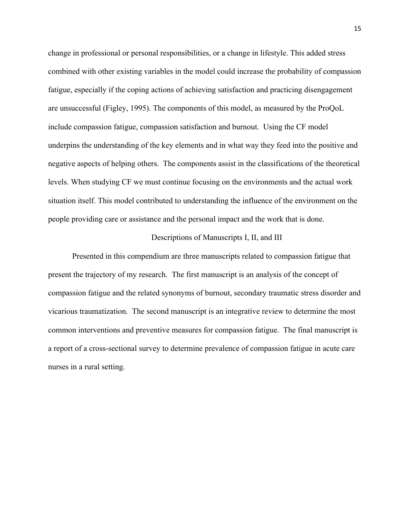change in professional or personal responsibilities, or a change in lifestyle. This added stress combined with other existing variables in the model could increase the probability of compassion fatigue, especially if the coping actions of achieving satisfaction and practicing disengagement are unsuccessful (Figley, 1995). The components of this model, as measured by the ProQoL include compassion fatigue, compassion satisfaction and burnout. Using the CF model underpins the understanding of the key elements and in what way they feed into the positive and negative aspects of helping others. The components assist in the classifications of the theoretical levels. When studying CF we must continue focusing on the environments and the actual work situation itself. This model contributed to understanding the influence of the environment on the people providing care or assistance and the personal impact and the work that is done.

## Descriptions of Manuscripts I, II, and III

Presented in this compendium are three manuscripts related to compassion fatigue that present the trajectory of my research. The first manuscript is an analysis of the concept of compassion fatigue and the related synonyms of burnout, secondary traumatic stress disorder and vicarious traumatization. The second manuscript is an integrative review to determine the most common interventions and preventive measures for compassion fatigue. The final manuscript is a report of a cross-sectional survey to determine prevalence of compassion fatigue in acute care nurses in a rural setting.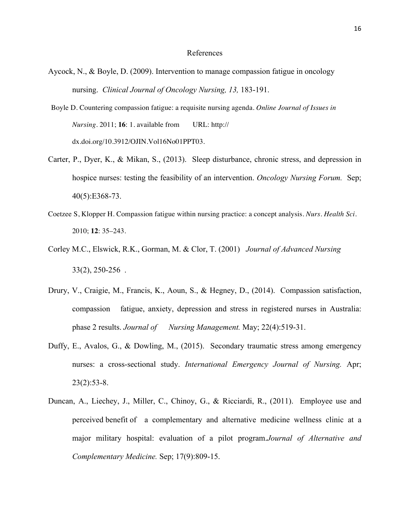#### References

- Aycock, N., & Boyle, D. (2009). Intervention to manage compassion fatigue in oncology nursing. *Clinical Journal of Oncology Nursing, 13,* 183-191.
- Boyle D. Countering compassion fatigue: a requisite nursing agenda. *Online Journal of Issues in Nursing.* 2011; **16**: 1. available from URL: http:// dx.doi.org/10.3912/OJIN.Vol16No01PPT03.
- Carter, P., Dyer, K., & Mikan, S., (2013). Sleep disturbance, chronic stress, and depression in hospice nurses: testing the feasibility of an intervention. *Oncology Nursing Forum.* Sep; 40(5):E368-73.
- Coetzee S, Klopper H. Compassion fatigue within nursing practice: a concept analysis. *Nurs. Health Sci.*  2010; **12**: 35–243.
- Corley M.C., Elswick, R.K., Gorman, M. & Clor, T. (2001) *Journal of Advanced Nursing* 33(2), 250-256 .
- Drury, V., Craigie, M., Francis, K., Aoun, S., & Hegney, D., (2014). Compassion satisfaction, compassion fatigue, anxiety, depression and stress in registered nurses in Australia: phase 2 results. *Journal of Nursing Management.* May; 22(4):519-31.
- Duffy, E., Avalos, G., & Dowling, M., (2015). Secondary traumatic stress among emergency nurses: a cross-sectional study. *International Emergency Journal of Nursing.* Apr; 23(2):53-8.
- Duncan, A., Liechey, J., Miller, C., Chinoy, G., & Ricciardi, R., (2011). Employee use and perceived benefit of a complementary and alternative medicine wellness clinic at a major military hospital: evaluation of a pilot program.*Journal of Alternative and Complementary Medicine.* Sep; 17(9):809-15.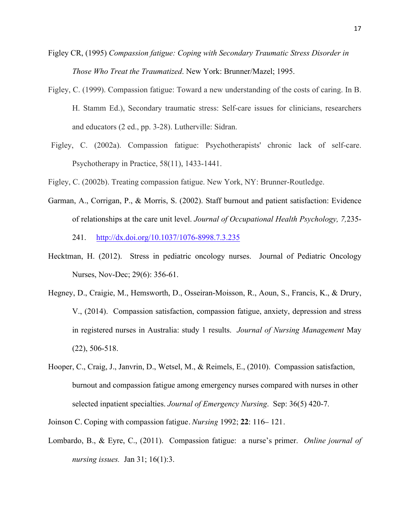- Figley CR, (1995) *Compassion fatigue: Coping with Secondary Traumatic Stress Disorder in Those Who Treat the Traumatized*. New York: Brunner/Mazel; 1995.
- Figley, C. (1999). Compassion fatigue: Toward a new understanding of the costs of caring. In B. H. Stamm Ed.), Secondary traumatic stress: Self-care issues for clinicians, researchers and educators (2 ed., pp. 3-28). Lutherville: Sidran.
- Figley, C. (2002a). Compassion fatigue: Psychotherapists' chronic lack of self-care. Psychotherapy in Practice, 58(11), 1433-1441.
- Figley, C. (2002b). Treating compassion fatigue. New York, NY: Brunner-Routledge.
- Garman, A., Corrigan, P., & Morris, S. (2002). Staff burnout and patient satisfaction: Evidence of relationships at the care unit level. *Journal of Occupational Health Psychology, 7,*235- 241. http://dx.doi.org/10.1037/1076-8998.7.3.235
- Hecktman, H. (2012). Stress in pediatric oncology nurses. Journal of Pediatric Oncology Nurses, Nov-Dec; 29(6): 356-61.
- Hegney, D., Craigie, M., Hemsworth, D., Osseiran-Moisson, R., Aoun, S., Francis, K., & Drury, V., (2014). Compassion satisfaction, compassion fatigue, anxiety, depression and stress in registered nurses in Australia: study 1 results. *Journal of Nursing Management* May (22), 506-518.
- Hooper, C., Craig, J., Janvrin, D., Wetsel, M., & Reimels, E., (2010). Compassion satisfaction, burnout and compassion fatigue among emergency nurses compared with nurses in other selected inpatient specialties. *Journal of Emergency Nursing*. Sep: 36(5) 420-7.

Joinson C. Coping with compassion fatigue. *Nursing* 1992; **22**: 116– 121.

Lombardo, B., & Eyre, C., (2011). Compassion fatigue: a nurse's primer. *Online journal of nursing issues.* Jan 31; 16(1):3.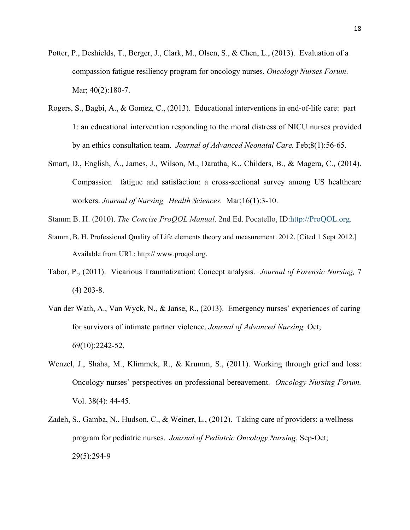- Potter, P., Deshields, T., Berger, J., Clark, M., Olsen, S., & Chen, L., (2013). Evaluation of a compassion fatigue resiliency program for oncology nurses. *Oncology Nurses Forum*. Mar; 40(2):180-7.
- Rogers, S., Bagbi, A., & Gomez, C., (2013). Educational interventions in end-of-life care: part 1: an educational intervention responding to the moral distress of NICU nurses provided by an ethics consultation team. *Journal of Advanced Neonatal Care.* Feb;8(1):56-65.
- Smart, D., English, A., James, J., Wilson, M., Daratha, K., Childers, B., & Magera, C., (2014). Compassion fatigue and satisfaction: a cross-sectional survey among US healthcare workers. *Journal of Nursing Health Sciences.* Mar;16(1):3-10.
- Stamm B. H. (2010). *The Concise ProQOL Manual*. 2nd Ed. Pocatello, ID:http://ProQOL.org.
- Stamm, B. H. Professional Quality of Life elements theory and measurement. 2012. [Cited 1 Sept 2012.] Available from URL: http:// www.proqol.org.
- Tabor, P., (2011). Vicarious Traumatization: Concept analysis. *Journal of Forensic Nursing,* 7  $(4)$  203-8.
- Van der Wath, A., Van Wyck, N., & Janse, R., (2013). Emergency nurses' experiences of caring for survivors of intimate partner violence. *Journal of Advanced Nursing.* Oct; 69(10):2242-52.
- Wenzel, J., Shaha, M., Klimmek, R., & Krumm, S., (2011). Working through grief and loss: Oncology nurses' perspectives on professional bereavement. *Oncology Nursing Forum.* Vol. 38(4): 44-45.
- Zadeh, S., Gamba, N., Hudson, C., & Weiner, L., (2012). Taking care of providers: a wellness program for pediatric nurses. *Journal of Pediatric Oncology Nursing.* Sep-Oct; 29(5):294-9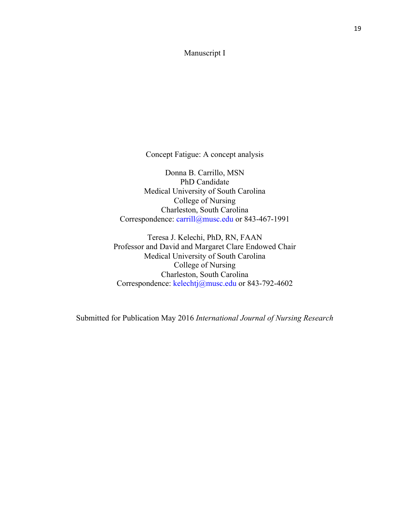## Manuscript I

Concept Fatigue: A concept analysis

Donna B. Carrillo, MSN PhD Candidate Medical University of South Carolina College of Nursing Charleston, South Carolina Correspondence: carrill@musc.edu or 843-467-1991

Teresa J. Kelechi, PhD, RN, FAAN Professor and David and Margaret Clare Endowed Chair Medical University of South Carolina College of Nursing Charleston, South Carolina Correspondence: kelechtj@musc.edu or 843-792-4602

Submitted for Publication May 2016 *International Journal of Nursing Research*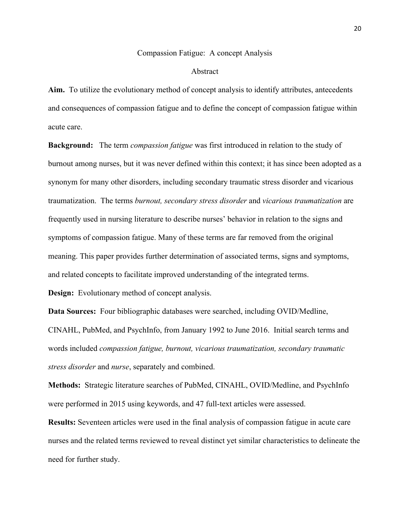#### Compassion Fatigue: A concept Analysis

#### Abstract

**Aim.** To utilize the evolutionary method of concept analysis to identify attributes, antecedents and consequences of compassion fatigue and to define the concept of compassion fatigue within acute care.

**Background:** The term *compassion fatigue* was first introduced in relation to the study of burnout among nurses, but it was never defined within this context; it has since been adopted as a synonym for many other disorders, including secondary traumatic stress disorder and vicarious traumatization. The terms *burnout, secondary stress disorder* and *vicarious traumatization* are frequently used in nursing literature to describe nurses' behavior in relation to the signs and symptoms of compassion fatigue. Many of these terms are far removed from the original meaning. This paper provides further determination of associated terms, signs and symptoms, and related concepts to facilitate improved understanding of the integrated terms.

**Design:** Evolutionary method of concept analysis.

**Data Sources:** Four bibliographic databases were searched, including OVID/Medline, CINAHL, PubMed, and PsychInfo, from January 1992 to June 2016. Initial search terms and words included *compassion fatigue, burnout, vicarious traumatization, secondary traumatic stress disorder* and *nurse*, separately and combined.

**Methods:** Strategic literature searches of PubMed, CINAHL, OVID/Medline, and PsychInfo were performed in 2015 using keywords, and 47 full-text articles were assessed.

**Results:** Seventeen articles were used in the final analysis of compassion fatigue in acute care nurses and the related terms reviewed to reveal distinct yet similar characteristics to delineate the need for further study.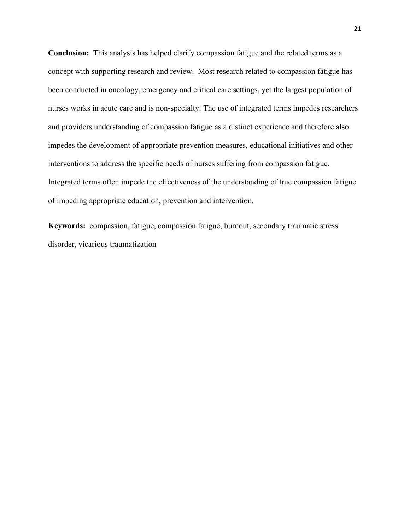**Conclusion:** This analysis has helped clarify compassion fatigue and the related terms as a concept with supporting research and review. Most research related to compassion fatigue has been conducted in oncology, emergency and critical care settings, yet the largest population of nurses works in acute care and is non-specialty. The use of integrated terms impedes researchers and providers understanding of compassion fatigue as a distinct experience and therefore also impedes the development of appropriate prevention measures, educational initiatives and other interventions to address the specific needs of nurses suffering from compassion fatigue. Integrated terms often impede the effectiveness of the understanding of true compassion fatigue of impeding appropriate education, prevention and intervention.

**Keywords:** compassion, fatigue, compassion fatigue, burnout, secondary traumatic stress disorder, vicarious traumatization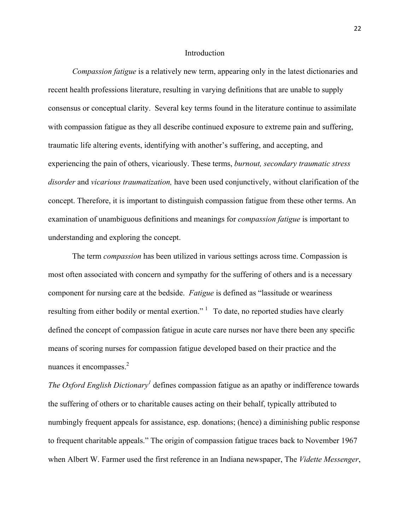#### Introduction

*Compassion fatigue* is a relatively new term, appearing only in the latest dictionaries and recent health professions literature, resulting in varying definitions that are unable to supply consensus or conceptual clarity. Several key terms found in the literature continue to assimilate with compassion fatigue as they all describe continued exposure to extreme pain and suffering, traumatic life altering events, identifying with another's suffering, and accepting, and experiencing the pain of others, vicariously. These terms, *burnout, secondary traumatic stress disorder* and *vicarious traumatization,* have been used conjunctively, without clarification of the concept. Therefore, it is important to distinguish compassion fatigue from these other terms. An examination of unambiguous definitions and meanings for *compassion fatigue* is important to understanding and exploring the concept.

The term *compassion* has been utilized in various settings across time. Compassion is most often associated with concern and sympathy for the suffering of others and is a necessary component for nursing care at the bedside. *Fatigue* is defined as "lassitude or weariness resulting from either bodily or mental exertion." <sup>1</sup> To date, no reported studies have clearly defined the concept of compassion fatigue in acute care nurses nor have there been any specific means of scoring nurses for compassion fatigue developed based on their practice and the nuances it encompasses. $2$ 

*The Oxford English Dictionary*<sup>1</sup> defines compassion fatigue as an apathy or indifference towards the suffering of others or to charitable causes acting on their behalf, typically attributed to numbingly frequent appeals for assistance, esp. donations; (hence) a diminishing public response to frequent charitable appeals." The origin of compassion fatigue traces back to November 1967 when Albert W. Farmer used the first reference in an Indiana newspaper, The *Vidette Messenger*,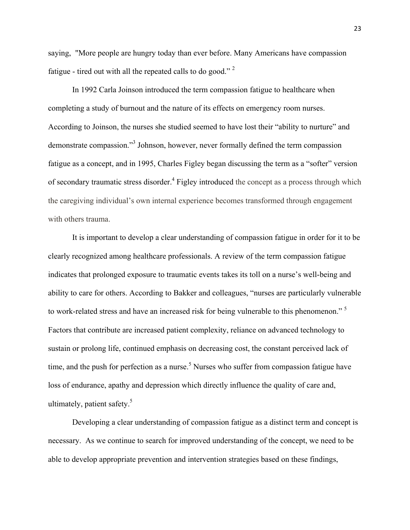saying, "More people are hungry today than ever before. Many Americans have compassion fatigue - tired out with all the repeated calls to do good." <sup>2</sup>

In 1992 Carla Joinson introduced the term compassion fatigue to healthcare when completing a study of burnout and the nature of its effects on emergency room nurses. According to Joinson, the nurses she studied seemed to have lost their "ability to nurture" and demonstrate compassion."3 Johnson, however, never formally defined the term compassion fatigue as a concept, and in 1995, Charles Figley began discussing the term as a "softer" version of secondary traumatic stress disorder.<sup>4</sup> Figley introduced the concept as a process through which the caregiving individual's own internal experience becomes transformed through engagement with others trauma.

It is important to develop a clear understanding of compassion fatigue in order for it to be clearly recognized among healthcare professionals. A review of the term compassion fatigue indicates that prolonged exposure to traumatic events takes its toll on a nurse's well-being and ability to care for others. According to Bakker and colleagues, "nurses are particularly vulnerable to work-related stress and have an increased risk for being vulnerable to this phenomenon."<sup>5</sup> Factors that contribute are increased patient complexity, reliance on advanced technology to sustain or prolong life, continued emphasis on decreasing cost, the constant perceived lack of time, and the push for perfection as a nurse.<sup>5</sup> Nurses who suffer from compassion fatigue have loss of endurance, apathy and depression which directly influence the quality of care and, ultimately, patient safety. $5$ 

Developing a clear understanding of compassion fatigue as a distinct term and concept is necessary. As we continue to search for improved understanding of the concept, we need to be able to develop appropriate prevention and intervention strategies based on these findings,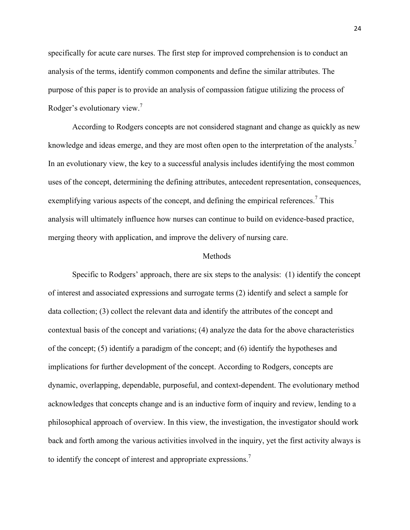specifically for acute care nurses. The first step for improved comprehension is to conduct an analysis of the terms, identify common components and define the similar attributes. The purpose of this paper is to provide an analysis of compassion fatigue utilizing the process of Rodger's evolutionary view.<sup>7</sup>

According to Rodgers concepts are not considered stagnant and change as quickly as new knowledge and ideas emerge, and they are most often open to the interpretation of the analysts.<sup>7</sup> In an evolutionary view, the key to a successful analysis includes identifying the most common uses of the concept, determining the defining attributes, antecedent representation, consequences, exemplifying various aspects of the concept, and defining the empirical references.<sup>7</sup> This analysis will ultimately influence how nurses can continue to build on evidence-based practice, merging theory with application, and improve the delivery of nursing care.

### Methods

Specific to Rodgers' approach, there are six steps to the analysis: (1) identify the concept of interest and associated expressions and surrogate terms (2) identify and select a sample for data collection; (3) collect the relevant data and identify the attributes of the concept and contextual basis of the concept and variations; (4) analyze the data for the above characteristics of the concept; (5) identify a paradigm of the concept; and (6) identify the hypotheses and implications for further development of the concept. According to Rodgers, concepts are dynamic, overlapping, dependable, purposeful, and context-dependent. The evolutionary method acknowledges that concepts change and is an inductive form of inquiry and review, lending to a philosophical approach of overview. In this view, the investigation, the investigator should work back and forth among the various activities involved in the inquiry, yet the first activity always is to identify the concept of interest and appropriate expressions.<sup>7</sup>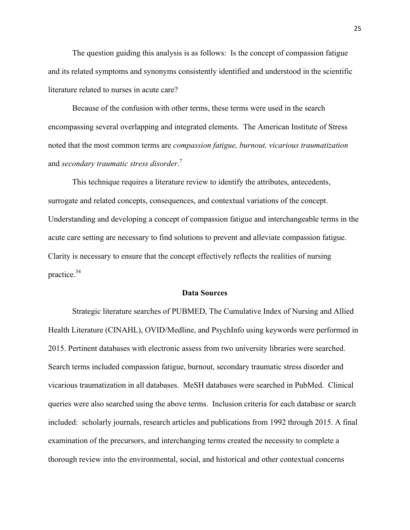The question guiding this analysis is as follows: Is the concept of compassion fatigue and its related symptoms and synonyms consistently identified and understood in the scientific literature related to nurses in acute care?

Because of the confusion with other terms, these terms were used in the search encompassing several overlapping and integrated elements. The American Institute of Stress noted that the most common terms are *compassion fatigue, burnout, vicarious traumatization*  and *secondary traumatic stress disorder*. 7

This technique requires a literature review to identify the attributes, antecedents, surrogate and related concepts, consequences, and contextual variations of the concept. Understanding and developing a concept of compassion fatigue and interchangeable terms in the acute care setting are necessary to find solutions to prevent and alleviate compassion fatigue. Clarity is necessary to ensure that the concept effectively reflects the realities of nursing practice.34

#### **Data Sources**

Strategic literature searches of PUBMED, The Cumulative Index of Nursing and Allied Health Literature (CINAHL), OVID/Medline, and PsychInfo using keywords were performed in 2015. Pertinent databases with electronic assess from two university libraries were searched. Search terms included compassion fatigue, burnout, secondary traumatic stress disorder and vicarious traumatization in all databases. MeSH databases were searched in PubMed. Clinical queries were also searched using the above terms. Inclusion criteria for each database or search included: scholarly journals, research articles and publications from 1992 through 2015. A final examination of the precursors, and interchanging terms created the necessity to complete a thorough review into the environmental, social, and historical and other contextual concerns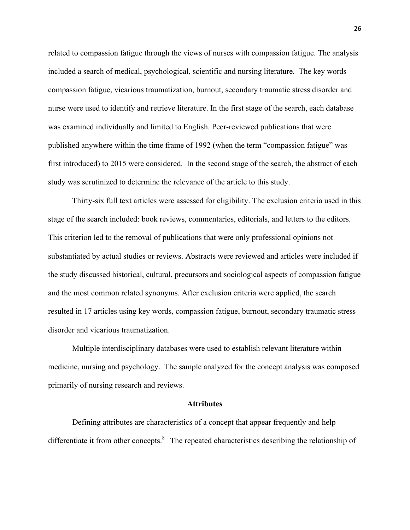related to compassion fatigue through the views of nurses with compassion fatigue. The analysis included a search of medical, psychological, scientific and nursing literature. The key words compassion fatigue, vicarious traumatization, burnout, secondary traumatic stress disorder and nurse were used to identify and retrieve literature. In the first stage of the search, each database was examined individually and limited to English. Peer-reviewed publications that were published anywhere within the time frame of 1992 (when the term "compassion fatigue" was first introduced) to 2015 were considered. In the second stage of the search, the abstract of each study was scrutinized to determine the relevance of the article to this study.

Thirty-six full text articles were assessed for eligibility. The exclusion criteria used in this stage of the search included: book reviews, commentaries, editorials, and letters to the editors. This criterion led to the removal of publications that were only professional opinions not substantiated by actual studies or reviews. Abstracts were reviewed and articles were included if the study discussed historical, cultural, precursors and sociological aspects of compassion fatigue and the most common related synonyms. After exclusion criteria were applied, the search resulted in 17 articles using key words, compassion fatigue, burnout, secondary traumatic stress disorder and vicarious traumatization.

Multiple interdisciplinary databases were used to establish relevant literature within medicine, nursing and psychology. The sample analyzed for the concept analysis was composed primarily of nursing research and reviews.

#### **Attributes**

Defining attributes are characteristics of a concept that appear frequently and help differentiate it from other concepts.<sup>8</sup> The repeated characteristics describing the relationship of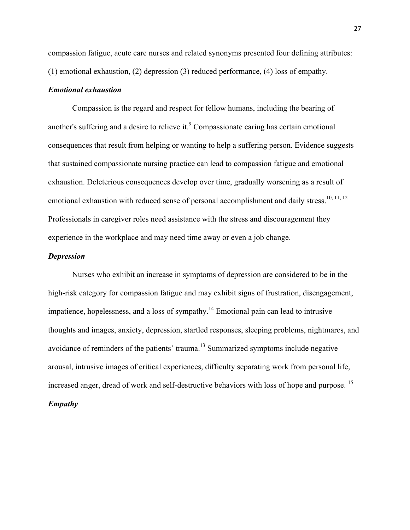compassion fatigue, acute care nurses and related synonyms presented four defining attributes: (1) emotional exhaustion, (2) depression (3) reduced performance, (4) loss of empathy.

## *Emotional exhaustion*

Compassion is the regard and respect for fellow humans, including the bearing of another's suffering and a desire to relieve it.<sup>9</sup> Compassionate caring has certain emotional consequences that result from helping or wanting to help a suffering person. Evidence suggests that sustained compassionate nursing practice can lead to compassion fatigue and emotional exhaustion. Deleterious consequences develop over time, gradually worsening as a result of emotional exhaustion with reduced sense of personal accomplishment and daily stress.<sup>10, 11, 12</sup> Professionals in caregiver roles need assistance with the stress and discouragement they experience in the workplace and may need time away or even a job change.

## *Depression*

Nurses who exhibit an increase in symptoms of depression are considered to be in the high-risk category for compassion fatigue and may exhibit signs of frustration, disengagement, impatience, hopelessness, and a loss of sympathy.<sup>14</sup> Emotional pain can lead to intrusive thoughts and images, anxiety, depression, startled responses, sleeping problems, nightmares, and avoidance of reminders of the patients' trauma.13 Summarized symptoms include negative arousal, intrusive images of critical experiences, difficulty separating work from personal life, increased anger, dread of work and self-destructive behaviors with loss of hope and purpose.<sup>15</sup> *Empathy*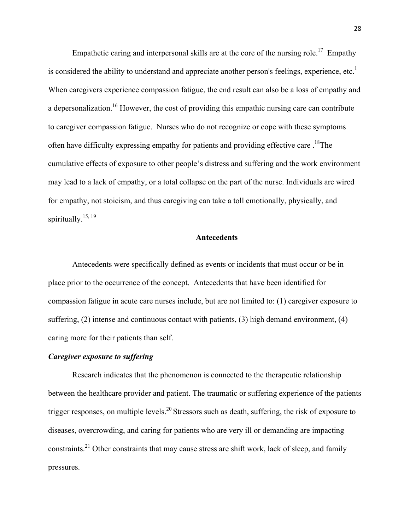Empathetic caring and interpersonal skills are at the core of the nursing role.<sup>17</sup> Empathy is considered the ability to understand and appreciate another person's feelings, experience, etc.<sup>1</sup> When caregivers experience compassion fatigue, the end result can also be a loss of empathy and a depersonalization.<sup>16</sup> However, the cost of providing this empathic nursing care can contribute to caregiver compassion fatigue. Nurses who do not recognize or cope with these symptoms often have difficulty expressing empathy for patients and providing effective care.<sup>18</sup>The cumulative effects of exposure to other people's distress and suffering and the work environment may lead to a lack of empathy, or a total collapse on the part of the nurse. Individuals are wired for empathy, not stoicism, and thus caregiving can take a toll emotionally, physically, and spiritually.<sup>15, 19</sup>

#### **Antecedents**

Antecedents were specifically defined as events or incidents that must occur or be in place prior to the occurrence of the concept. Antecedents that have been identified for compassion fatigue in acute care nurses include, but are not limited to: (1) caregiver exposure to suffering, (2) intense and continuous contact with patients, (3) high demand environment, (4) caring more for their patients than self.

## *Caregiver exposure to suffering*

Research indicates that the phenomenon is connected to the therapeutic relationship between the healthcare provider and patient. The traumatic or suffering experience of the patients trigger responses, on multiple levels.<sup>20</sup> Stressors such as death, suffering, the risk of exposure to diseases, overcrowding, and caring for patients who are very ill or demanding are impacting constraints.<sup>21</sup> Other constraints that may cause stress are shift work, lack of sleep, and family pressures.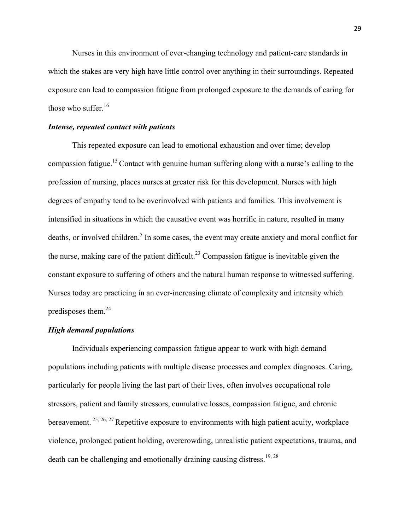Nurses in this environment of ever-changing technology and patient-care standards in which the stakes are very high have little control over anything in their surroundings. Repeated exposure can lead to compassion fatigue from prolonged exposure to the demands of caring for those who suffer.<sup>16</sup>

### *Intense, repeated contact with patients*

This repeated exposure can lead to emotional exhaustion and over time; develop compassion fatigue.15 Contact with genuine human suffering along with a nurse's calling to the profession of nursing, places nurses at greater risk for this development. Nurses with high degrees of empathy tend to be overinvolved with patients and families. This involvement is intensified in situations in which the causative event was horrific in nature, resulted in many deaths, or involved children.<sup>5</sup> In some cases, the event may create anxiety and moral conflict for the nurse, making care of the patient difficult.<sup>23</sup> Compassion fatigue is inevitable given the constant exposure to suffering of others and the natural human response to witnessed suffering. Nurses today are practicing in an ever-increasing climate of complexity and intensity which predisposes them.24

## *High demand populations*

Individuals experiencing compassion fatigue appear to work with high demand populations including patients with multiple disease processes and complex diagnoses. Caring, particularly for people living the last part of their lives, often involves occupational role stressors, patient and family stressors, cumulative losses, compassion fatigue, and chronic bereavement.  $25, 26, 27$  Repetitive exposure to environments with high patient acuity, workplace violence, prolonged patient holding, overcrowding, unrealistic patient expectations, trauma, and death can be challenging and emotionally draining causing distress.<sup>19, 28</sup>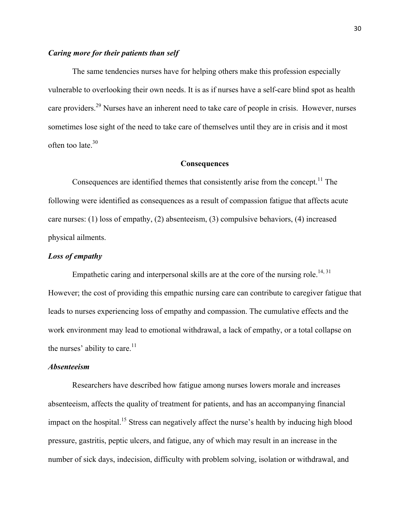## *Caring more for their patients than self*

The same tendencies nurses have for helping others make this profession especially vulnerable to overlooking their own needs. It is as if nurses have a self-care blind spot as health care providers.<sup>29</sup> Nurses have an inherent need to take care of people in crisis. However, nurses sometimes lose sight of the need to take care of themselves until they are in crisis and it most often too late.<sup>30</sup>

### **Consequences**

Consequences are identified themes that consistently arise from the concept.<sup>11</sup> The following were identified as consequences as a result of compassion fatigue that affects acute care nurses: (1) loss of empathy, (2) absenteeism, (3) compulsive behaviors, (4) increased physical ailments.

## *Loss of empathy*

Empathetic caring and interpersonal skills are at the core of the nursing role.<sup>14, 31</sup> However; the cost of providing this empathic nursing care can contribute to caregiver fatigue that leads to nurses experiencing loss of empathy and compassion. The cumulative effects and the work environment may lead to emotional withdrawal, a lack of empathy, or a total collapse on the nurses' ability to care. $11$ 

## *Absenteeism*

Researchers have described how fatigue among nurses lowers morale and increases absenteeism, affects the quality of treatment for patients, and has an accompanying financial impact on the hospital.<sup>15</sup> Stress can negatively affect the nurse's health by inducing high blood pressure, gastritis, peptic ulcers, and fatigue, any of which may result in an increase in the number of sick days, indecision, difficulty with problem solving, isolation or withdrawal, and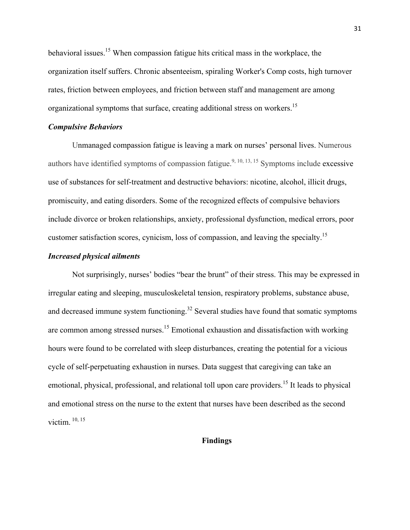behavioral issues.<sup>15</sup> When compassion fatigue hits critical mass in the workplace, the organization itself suffers. Chronic absenteeism, spiraling Worker's Comp costs, high turnover rates, friction between employees, and friction between staff and management are among organizational symptoms that surface, creating additional stress on workers.15

## *Compulsive Behaviors*

Unmanaged compassion fatigue is leaving a mark on nurses' personal lives. Numerous authors have identified symptoms of compassion fatigue.<sup>9, 10, 13, 15</sup> Symptoms include excessive use of substances for self-treatment and destructive behaviors: nicotine, alcohol, illicit drugs, promiscuity, and eating disorders. Some of the recognized effects of compulsive behaviors include divorce or broken relationships, anxiety, professional dysfunction, medical errors, poor customer satisfaction scores, cynicism, loss of compassion, and leaving the specialty.<sup>15</sup>

## *Increased physical ailments*

Not surprisingly, nurses' bodies "bear the brunt" of their stress. This may be expressed in irregular eating and sleeping, musculoskeletal tension, respiratory problems, substance abuse, and decreased immune system functioning.<sup>32</sup> Several studies have found that somatic symptoms are common among stressed nurses.<sup>15</sup> Emotional exhaustion and dissatisfaction with working hours were found to be correlated with sleep disturbances, creating the potential for a vicious cycle of self-perpetuating exhaustion in nurses. Data suggest that caregiving can take an emotional, physical, professional, and relational toll upon care providers.<sup>15</sup> It leads to physical and emotional stress on the nurse to the extent that nurses have been described as the second victim. 10, 15

## **Findings**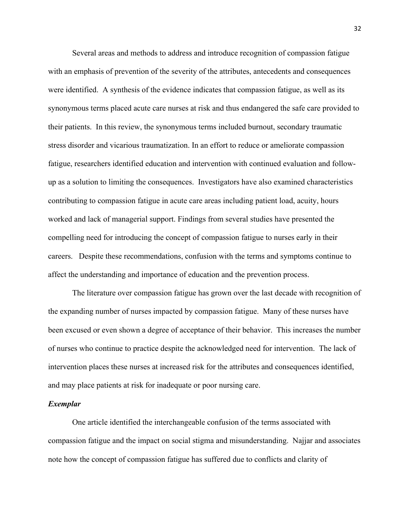Several areas and methods to address and introduce recognition of compassion fatigue with an emphasis of prevention of the severity of the attributes, antecedents and consequences were identified. A synthesis of the evidence indicates that compassion fatigue, as well as its synonymous terms placed acute care nurses at risk and thus endangered the safe care provided to their patients. In this review, the synonymous terms included burnout, secondary traumatic stress disorder and vicarious traumatization. In an effort to reduce or ameliorate compassion fatigue, researchers identified education and intervention with continued evaluation and followup as a solution to limiting the consequences. Investigators have also examined characteristics contributing to compassion fatigue in acute care areas including patient load, acuity, hours worked and lack of managerial support. Findings from several studies have presented the compelling need for introducing the concept of compassion fatigue to nurses early in their careers. Despite these recommendations, confusion with the terms and symptoms continue to affect the understanding and importance of education and the prevention process.

The literature over compassion fatigue has grown over the last decade with recognition of the expanding number of nurses impacted by compassion fatigue. Many of these nurses have been excused or even shown a degree of acceptance of their behavior. This increases the number of nurses who continue to practice despite the acknowledged need for intervention. The lack of intervention places these nurses at increased risk for the attributes and consequences identified, and may place patients at risk for inadequate or poor nursing care.

### *Exemplar*

One article identified the interchangeable confusion of the terms associated with compassion fatigue and the impact on social stigma and misunderstanding. Najjar and associates note how the concept of compassion fatigue has suffered due to conflicts and clarity of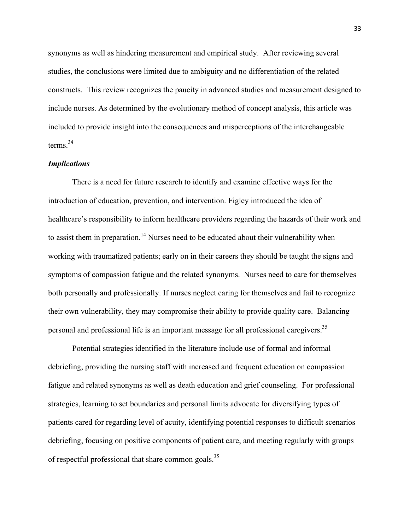synonyms as well as hindering measurement and empirical study. After reviewing several studies, the conclusions were limited due to ambiguity and no differentiation of the related constructs. This review recognizes the paucity in advanced studies and measurement designed to include nurses. As determined by the evolutionary method of concept analysis, this article was included to provide insight into the consequences and misperceptions of the interchangeable terms.34

## *Implications*

There is a need for future research to identify and examine effective ways for the introduction of education, prevention, and intervention. Figley introduced the idea of healthcare's responsibility to inform healthcare providers regarding the hazards of their work and to assist them in preparation.<sup>14</sup> Nurses need to be educated about their vulnerability when working with traumatized patients; early on in their careers they should be taught the signs and symptoms of compassion fatigue and the related synonyms. Nurses need to care for themselves both personally and professionally. If nurses neglect caring for themselves and fail to recognize their own vulnerability, they may compromise their ability to provide quality care. Balancing personal and professional life is an important message for all professional caregivers.<sup>35</sup>

Potential strategies identified in the literature include use of formal and informal debriefing, providing the nursing staff with increased and frequent education on compassion fatigue and related synonyms as well as death education and grief counseling. For professional strategies, learning to set boundaries and personal limits advocate for diversifying types of patients cared for regarding level of acuity, identifying potential responses to difficult scenarios debriefing, focusing on positive components of patient care, and meeting regularly with groups of respectful professional that share common goals.<sup>35</sup>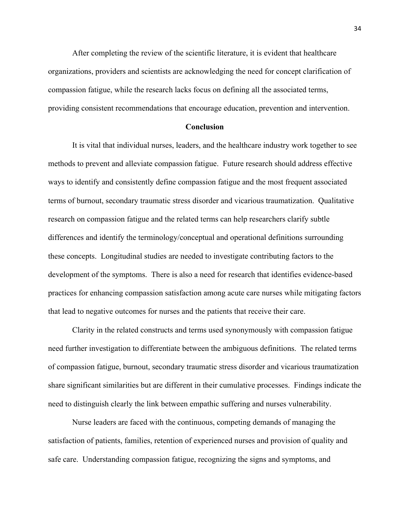After completing the review of the scientific literature, it is evident that healthcare organizations, providers and scientists are acknowledging the need for concept clarification of compassion fatigue, while the research lacks focus on defining all the associated terms, providing consistent recommendations that encourage education, prevention and intervention.

#### **Conclusion**

It is vital that individual nurses, leaders, and the healthcare industry work together to see methods to prevent and alleviate compassion fatigue. Future research should address effective ways to identify and consistently define compassion fatigue and the most frequent associated terms of burnout, secondary traumatic stress disorder and vicarious traumatization. Qualitative research on compassion fatigue and the related terms can help researchers clarify subtle differences and identify the terminology/conceptual and operational definitions surrounding these concepts. Longitudinal studies are needed to investigate contributing factors to the development of the symptoms. There is also a need for research that identifies evidence-based practices for enhancing compassion satisfaction among acute care nurses while mitigating factors that lead to negative outcomes for nurses and the patients that receive their care.

Clarity in the related constructs and terms used synonymously with compassion fatigue need further investigation to differentiate between the ambiguous definitions. The related terms of compassion fatigue, burnout, secondary traumatic stress disorder and vicarious traumatization share significant similarities but are different in their cumulative processes. Findings indicate the need to distinguish clearly the link between empathic suffering and nurses vulnerability.

Nurse leaders are faced with the continuous, competing demands of managing the satisfaction of patients, families, retention of experienced nurses and provision of quality and safe care. Understanding compassion fatigue, recognizing the signs and symptoms, and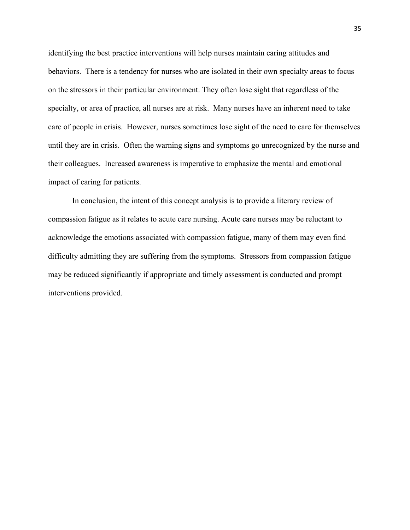identifying the best practice interventions will help nurses maintain caring attitudes and behaviors. There is a tendency for nurses who are isolated in their own specialty areas to focus on the stressors in their particular environment. They often lose sight that regardless of the specialty, or area of practice, all nurses are at risk. Many nurses have an inherent need to take care of people in crisis. However, nurses sometimes lose sight of the need to care for themselves until they are in crisis. Often the warning signs and symptoms go unrecognized by the nurse and their colleagues. Increased awareness is imperative to emphasize the mental and emotional impact of caring for patients.

In conclusion, the intent of this concept analysis is to provide a literary review of compassion fatigue as it relates to acute care nursing. Acute care nurses may be reluctant to acknowledge the emotions associated with compassion fatigue, many of them may even find difficulty admitting they are suffering from the symptoms. Stressors from compassion fatigue may be reduced significantly if appropriate and timely assessment is conducted and prompt interventions provided.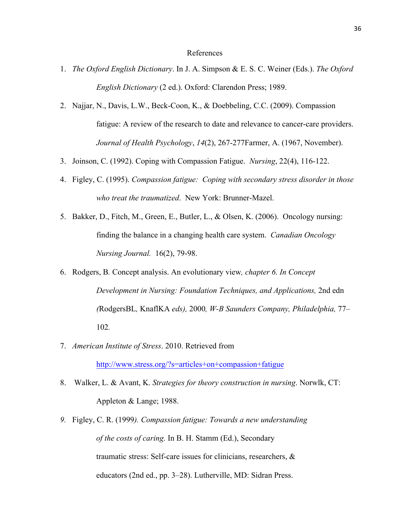#### References

- 1. *The Oxford English Dictionary*. In J. A. Simpson & E. S. C. Weiner (Eds.). *The Oxford English Dictionary* (2 ed.). Oxford: Clarendon Press; 1989.
- 2. Najjar, N., Davis, L.W., Beck-Coon, K., & Doebbeling, C.C. (2009). Compassion fatigue: A review of the research to date and relevance to cancer-care providers. *Journal of Health Psychology*, *14*(2), 267-277Farmer, A. (1967, November).
- 3. Joinson, C. (1992). Coping with Compassion Fatigue. *Nursing*, 22(4), 116-122.
- 4. Figley, C. (1995). *Compassion fatigue: Coping with secondary stress disorder in those who treat the traumatized*. New York: Brunner-Mazel.
- 5. Bakker, D., Fitch, M., Green, E., Butler, L., & Olsen, K. (2006). Oncology nursing: finding the balance in a changing health care system. *Canadian Oncology Nursing Journal.* 16(2), 79-98.
- 6. Rodgers, B*.* Concept analysis. An evolutionary view*, chapter 6. In Concept Development in Nursing: Foundation Techniques, and Applications,* 2nd edn *(*RodgersBL*,* KnaflKA *eds),* 2000*, W-B Saunders Company, Philadelphia,* 77*–* 102*.*
- 7. *American Institute of Stress*. 2010. Retrieved from

http://www.stress.org/?s=articles+on+compassion+fatigue

- 8. Walker, L. & Avant, K. *Strategies for theory construction in nursing*. Norwlk, CT: Appleton & Lange; 1988.
- *9.* Figley, C. R. (1999*). Compassion fatigue: Towards a new understanding of the costs of caring.* In B. H. Stamm (Ed.), Secondary traumatic stress: Self-care issues for clinicians, researchers, & educators (2nd ed., pp. 3–28). Lutherville, MD: Sidran Press.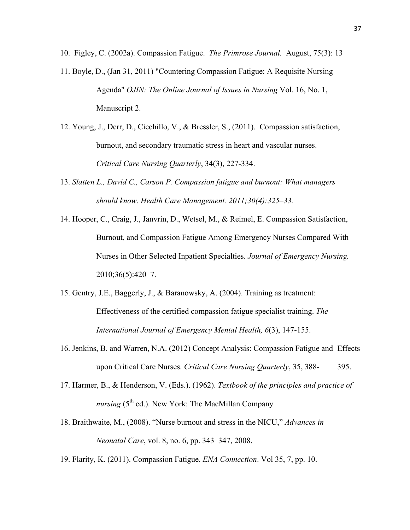- 10. Figley, C. (2002a). Compassion Fatigue. *The Primrose Journal.* August, 75(3): 13
- 11. Boyle, D., (Jan 31, 2011) "Countering Compassion Fatigue: A Requisite Nursing Agenda" *OJIN: The Online Journal of Issues in Nursing* Vol. 16, No. 1, Manuscript 2.
- 12. Young, J., Derr, D., Cicchillo, V., & Bressler, S., (2011). Compassion satisfaction, burnout, and secondary traumatic stress in heart and vascular nurses. *Critical Care Nursing Quarterly*, 34(3), 227-334.
- 13. *Slatten L., David C., Carson P. Compassion fatigue and burnout: What managers should know. Health Care Management. 2011;30(4):325–33.*
- 14. Hooper, C., Craig, J., Janvrin, D., Wetsel, M., & Reimel, E. Compassion Satisfaction, Burnout, and Compassion Fatigue Among Emergency Nurses Compared With Nurses in Other Selected Inpatient Specialties. *Journal of Emergency Nursing.* 2010;36(5):420–7.
- 15. Gentry, J.E., Baggerly, J., & Baranowsky, A. (2004). Training as treatment: Effectiveness of the certified compassion fatigue specialist training. *The International Journal of Emergency Mental Health, 6*(3), 147-155.
- 16. Jenkins, B. and Warren, N.A. (2012) Concept Analysis: Compassion Fatigue and Effects upon Critical Care Nurses. *Critical Care Nursing Quarterly*, 35, 388- 395.
- 17. Harmer, B., & Henderson, V. (Eds.). (1962). *Textbook of the principles and practice of nursing* ( $5<sup>th</sup>$  ed.). New York: The MacMillan Company
- 18. Braithwaite, M., (2008). "Nurse burnout and stress in the NICU," *Advances in Neonatal Care*, vol. 8, no. 6, pp. 343–347, 2008.
- 19. Flarity, K. (2011). Compassion Fatigue. *ENA Connection*. Vol 35, 7, pp. 10.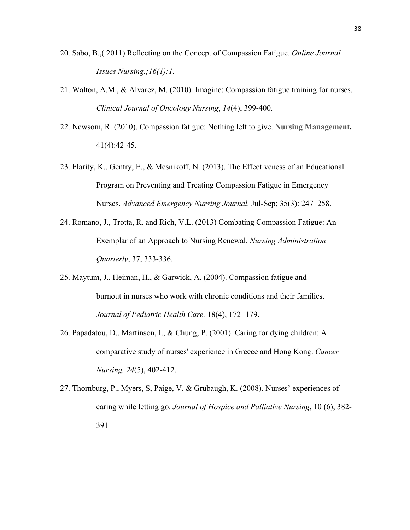- 20. Sabo, B.,( 2011) Reflecting on the Concept of Compassion Fatigue*. Online Journal Issues Nursing.;16(1):1.*
- 21. Walton, A.M., & Alvarez, M. (2010). Imagine: Compassion fatigue training for nurses. *Clinical Journal of Oncology Nursing*, *14*(4), 399-400.
- 22. Newsom, R. (2010). Compassion fatigue: Nothing left to give. **Nursing Management.** 41(4):42-45.
- 23. Flarity, K., Gentry, E., & Mesnikoff, N. (2013). The Effectiveness of an Educational Program on Preventing and Treating Compassion Fatigue in Emergency Nurses. *Advanced Emergency Nursing Journal.* Jul-Sep; 35(3): 247–258.
- 24. Romano, J., Trotta, R. and Rich, V.L. (2013) Combating Compassion Fatigue: An Exemplar of an Approach to Nursing Renewal. *Nursing Administration Quarterly*, 37, 333-336.
- 25. Maytum, J., Heiman, H., & Garwick, A. (2004). Compassion fatigue and burnout in nurses who work with chronic conditions and their families. *Journal of Pediatric Health Care,* 18(4), 172−179.
- 26. Papadatou, D., Martinson, I., & Chung, P. (2001). Caring for dying children: A comparative study of nurses' experience in Greece and Hong Kong. *Cancer Nursing, 24*(5), 402-412.
- 27. Thornburg, P., Myers, S, Paige, V. & Grubaugh, K. (2008). Nurses' experiences of caring while letting go. *Journal of Hospice and Palliative Nursing*, 10 (6), 382- 391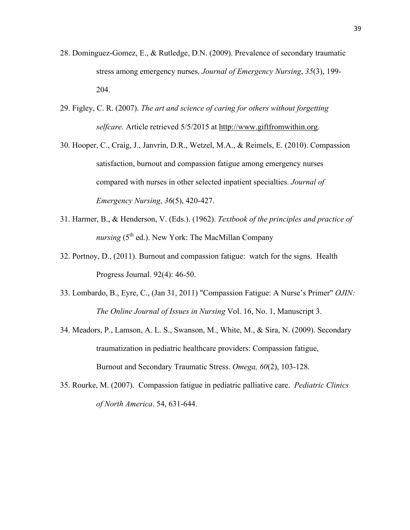- 28. Dominguez-Gomez, E., & Rutledge, D.N. (2009). Prevalence of secondary traumatic stress among emergency nurses. *Journal of Emergency Nursing*, *35*(3), 199- 204.
- 29. Figley, C. R. (2007). *The art and science of caring for others without forgetting selfcare.* Article retrieved 5/5/2015 at http://www.giftfromwithin.org.
- 30. Hooper, C., Craig, J., Janvrin, D.R., Wetzel, M.A., & Reimels, E. (2010). Compassion satisfaction, burnout and compassion fatigue among emergency nurses compared with nurses in other selected inpatient specialties. *Journal of Emergency Nursing*, *36*(5), 420-427.
- 31. Harmer, B., & Henderson, V. (Eds.). (1962). *Textbook of the principles and practice of nursing* ( $5<sup>th</sup>$  ed.). New York: The MacMillan Company
- 32. Portnoy, D., (2011). Burnout and compassion fatigue: watch for the signs. Health Progress Journal. 92(4): 46-50.
- 33. Lombardo, B., Eyre, C., (Jan 31, 2011) "Compassion Fatigue: A Nurse's Primer" *OJIN: The Online Journal of Issues in Nursing* Vol. 16, No. 1, Manuscript 3.
- 34. Meadors, P., Lamson, A. L. S., Swanson, M., White, M., & Sira, N. (2009). Secondary traumatization in pediatric healthcare providers: Compassion fatigue, Burnout and Secondary Traumatic Stress. *Omega, 60*(2), 103-128.
- 35. Rourke, M. (2007). Compassion fatigue in pediatric palliative care. *Pediatric Clinics of North America*. 54, 631-644.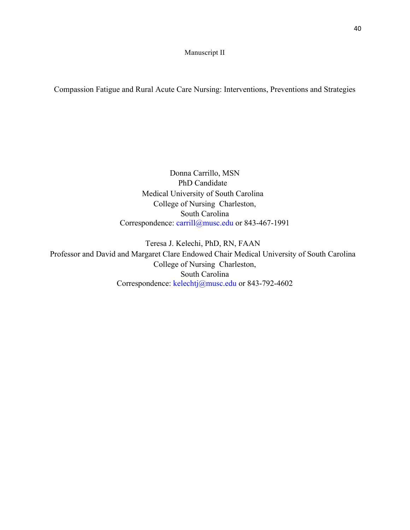Manuscript II

Compassion Fatigue and Rural Acute Care Nursing: Interventions, Preventions and Strategies

Donna Carrillo, MSN PhD Candidate Medical University of South Carolina College of Nursing Charleston, South Carolina Correspondence: carrill@musc.edu or 843-467-1991

Teresa J. Kelechi, PhD, RN, FAAN Professor and David and Margaret Clare Endowed Chair Medical University of South Carolina College of Nursing Charleston, South Carolina Correspondence: kelechtj@musc.edu or 843-792-4602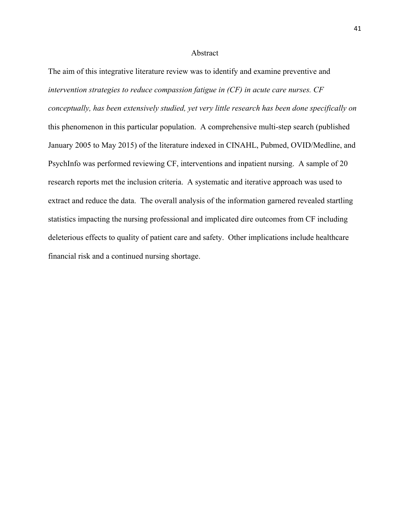#### Abstract

The aim of this integrative literature review was to identify and examine preventive and *intervention strategies to reduce compassion fatigue in (CF) in acute care nurses. CF conceptually, has been extensively studied, yet very little research has been done specifically on* this phenomenon in this particular population. A comprehensive multi-step search (published January 2005 to May 2015) of the literature indexed in CINAHL, Pubmed, OVID/Medline, and PsychInfo was performed reviewing CF, interventions and inpatient nursing. A sample of 20 research reports met the inclusion criteria. A systematic and iterative approach was used to extract and reduce the data. The overall analysis of the information garnered revealed startling statistics impacting the nursing professional and implicated dire outcomes from CF including deleterious effects to quality of patient care and safety. Other implications include healthcare financial risk and a continued nursing shortage.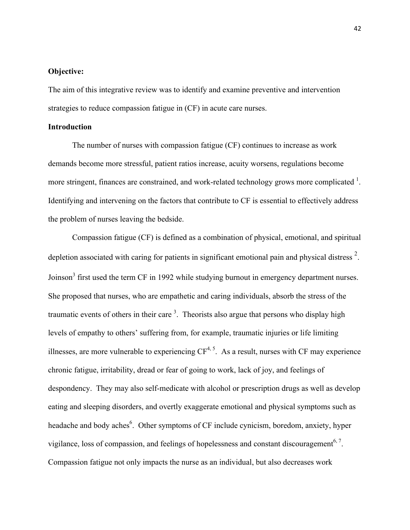## **Objective:**

The aim of this integrative review was to identify and examine preventive and intervention strategies to reduce compassion fatigue in (CF) in acute care nurses.

## **Introduction**

The number of nurses with compassion fatigue (CF) continues to increase as work demands become more stressful, patient ratios increase, acuity worsens, regulations become more stringent, finances are constrained, and work-related technology grows more complicated  $1$ . Identifying and intervening on the factors that contribute to CF is essential to effectively address the problem of nurses leaving the bedside.

Compassion fatigue (CF) is defined as a combination of physical, emotional, and spiritual depletion associated with caring for patients in significant emotional pain and physical distress<sup>2</sup>. Joinson<sup>3</sup> first used the term CF in 1992 while studying burnout in emergency department nurses. She proposed that nurses, who are empathetic and caring individuals, absorb the stress of the traumatic events of others in their care  $3$ . Theorists also argue that persons who display high levels of empathy to others' suffering from, for example, traumatic injuries or life limiting illnesses, are more vulnerable to experiencing  $CF^{4, 5}$ . As a result, nurses with CF may experience chronic fatigue, irritability, dread or fear of going to work, lack of joy, and feelings of despondency. They may also self-medicate with alcohol or prescription drugs as well as develop eating and sleeping disorders, and overtly exaggerate emotional and physical symptoms such as headache and body aches<sup>6</sup>. Other symptoms of CF include cynicism, boredom, anxiety, hyper vigilance, loss of compassion, and feelings of hopelessness and constant discouragement<sup>6, 7</sup>. Compassion fatigue not only impacts the nurse as an individual, but also decreases work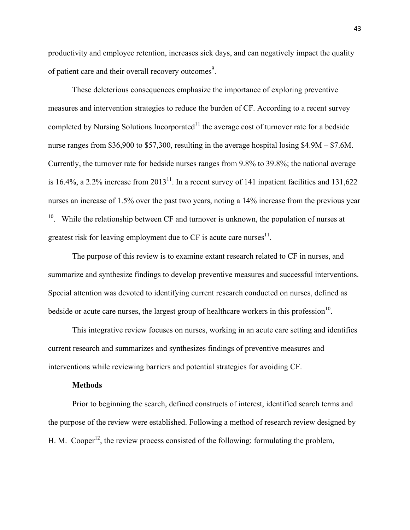productivity and employee retention, increases sick days, and can negatively impact the quality of patient care and their overall recovery outcomes<sup>9</sup>.

These deleterious consequences emphasize the importance of exploring preventive measures and intervention strategies to reduce the burden of CF. According to a recent survey completed by Nursing Solutions Incorporated<sup>11</sup> the average cost of turnover rate for a bedside nurse ranges from \$36,900 to \$57,300, resulting in the average hospital losing \$4.9M – \$7.6M. Currently, the turnover rate for bedside nurses ranges from 9.8% to 39.8%; the national average is 16.4%, a 2.2% increase from  $2013^{11}$ . In a recent survey of 141 inpatient facilities and 131,622 nurses an increase of 1.5% over the past two years, noting a 14% increase from the previous year <sup>10</sup>. While the relationship between CF and turnover is unknown, the population of nurses at greatest risk for leaving employment due to  $CF$  is acute care nurses $11$ .

The purpose of this review is to examine extant research related to CF in nurses, and summarize and synthesize findings to develop preventive measures and successful interventions. Special attention was devoted to identifying current research conducted on nurses, defined as bedside or acute care nurses, the largest group of healthcare workers in this profession<sup>10</sup>.

This integrative review focuses on nurses, working in an acute care setting and identifies current research and summarizes and synthesizes findings of preventive measures and interventions while reviewing barriers and potential strategies for avoiding CF.

#### **Methods**

Prior to beginning the search, defined constructs of interest, identified search terms and the purpose of the review were established. Following a method of research review designed by H. M. Cooper<sup>12</sup>, the review process consisted of the following: formulating the problem,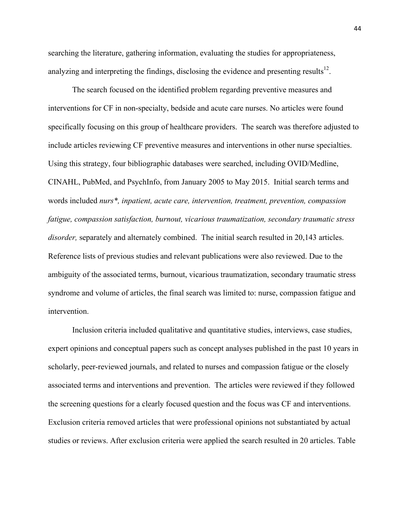searching the literature, gathering information, evaluating the studies for appropriateness, analyzing and interpreting the findings, disclosing the evidence and presenting results $^{12}$ .

The search focused on the identified problem regarding preventive measures and interventions for CF in non-specialty, bedside and acute care nurses. No articles were found specifically focusing on this group of healthcare providers. The search was therefore adjusted to include articles reviewing CF preventive measures and interventions in other nurse specialties. Using this strategy, four bibliographic databases were searched, including OVID/Medline, CINAHL, PubMed, and PsychInfo, from January 2005 to May 2015. Initial search terms and words included *nurs\*, inpatient, acute care, intervention, treatment, prevention, compassion fatigue, compassion satisfaction, burnout, vicarious traumatization, secondary traumatic stress disorder,* separately and alternately combined. The initial search resulted in 20,143 articles. Reference lists of previous studies and relevant publications were also reviewed. Due to the ambiguity of the associated terms, burnout, vicarious traumatization, secondary traumatic stress syndrome and volume of articles, the final search was limited to: nurse, compassion fatigue and intervention.

Inclusion criteria included qualitative and quantitative studies, interviews, case studies, expert opinions and conceptual papers such as concept analyses published in the past 10 years in scholarly, peer-reviewed journals, and related to nurses and compassion fatigue or the closely associated terms and interventions and prevention. The articles were reviewed if they followed the screening questions for a clearly focused question and the focus was CF and interventions. Exclusion criteria removed articles that were professional opinions not substantiated by actual studies or reviews. After exclusion criteria were applied the search resulted in 20 articles. Table

44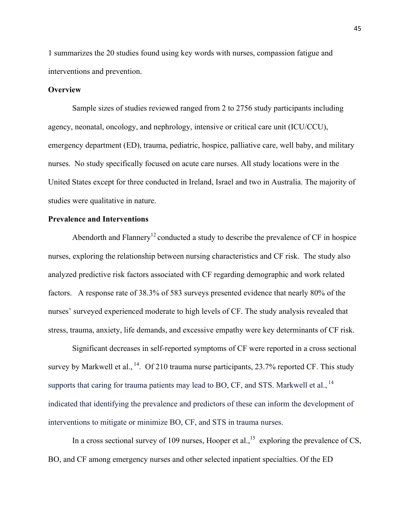1 summarizes the 20 studies found using key words with nurses, compassion fatigue and interventions and prevention.

## **Overview**

Sample sizes of studies reviewed ranged from 2 to 2756 study participants including agency, neonatal, oncology, and nephrology, intensive or critical care unit (ICU/CCU), emergency department (ED), trauma, pediatric, hospice, palliative care, well baby, and military nurses. No study specifically focused on acute care nurses. All study locations were in the United States except for three conducted in Ireland, Israel and two in Australia. The majority of studies were qualitative in nature.

## **Prevalence and Interventions**

Abendorth and Flannery<sup>12</sup> conducted a study to describe the prevalence of  $CF$  in hospice nurses, exploring the relationship between nursing characteristics and CF risk. The study also analyzed predictive risk factors associated with CF regarding demographic and work related factors. A response rate of 38.3% of 583 surveys presented evidence that nearly 80% of the nurses' surveyed experienced moderate to high levels of CF. The study analysis revealed that stress, trauma, anxiety, life demands, and excessive empathy were key determinants of CF risk.

Significant decreases in self-reported symptoms of CF were reported in a cross sectional survey by Markwell et al.,  $^{14}$ . Of 210 trauma nurse participants, 23.7% reported CF. This study supports that caring for trauma patients may lead to BO, CF, and STS. Markwell et al.,  $<sup>14</sup>$ </sup> indicated that identifying the prevalence and predictors of these can inform the development of interventions to mitigate or minimize BO, CF, and STS in trauma nurses.

In a cross sectional survey of 109 nurses, Hooper et al.,<sup>15</sup> exploring the prevalence of CS, BO, and CF among emergency nurses and other selected inpatient specialties. Of the ED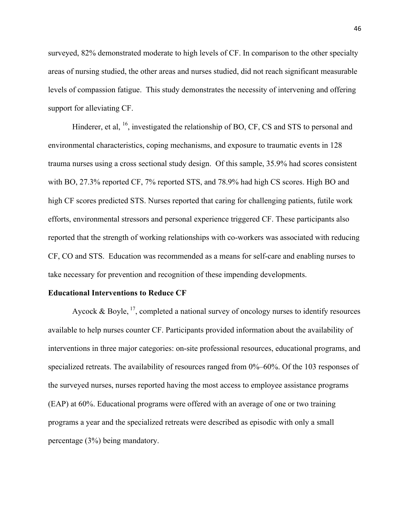surveyed, 82% demonstrated moderate to high levels of CF. In comparison to the other specialty areas of nursing studied, the other areas and nurses studied, did not reach significant measurable levels of compassion fatigue. This study demonstrates the necessity of intervening and offering support for alleviating CF.

Hinderer, et al, <sup>16</sup>, investigated the relationship of BO, CF, CS and STS to personal and environmental characteristics, coping mechanisms, and exposure to traumatic events in 128 trauma nurses using a cross sectional study design. Of this sample, 35.9% had scores consistent with BO, 27.3% reported CF, 7% reported STS, and 78.9% had high CS scores. High BO and high CF scores predicted STS. Nurses reported that caring for challenging patients, futile work efforts, environmental stressors and personal experience triggered CF. These participants also reported that the strength of working relationships with co-workers was associated with reducing CF, CO and STS. Education was recommended as a means for self-care and enabling nurses to take necessary for prevention and recognition of these impending developments.

## **Educational Interventions to Reduce CF**

Aycock & Boyle,  $^{17}$ , completed a national survey of oncology nurses to identify resources available to help nurses counter CF. Participants provided information about the availability of interventions in three major categories: on-site professional resources, educational programs, and specialized retreats. The availability of resources ranged from 0%–60%. Of the 103 responses of the surveyed nurses, nurses reported having the most access to employee assistance programs (EAP) at 60%. Educational programs were offered with an average of one or two training programs a year and the specialized retreats were described as episodic with only a small percentage (3%) being mandatory.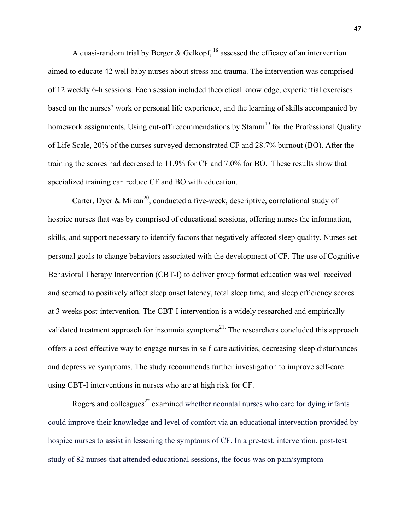A quasi-random trial by Berger & Gelkopf,  $^{18}$  assessed the efficacy of an intervention aimed to educate 42 well baby nurses about stress and trauma. The intervention was comprised of 12 weekly 6-h sessions. Each session included theoretical knowledge, experiential exercises based on the nurses' work or personal life experience, and the learning of skills accompanied by homework assignments. Using cut-off recommendations by Stamm<sup>19</sup> for the Professional Quality of Life Scale, 20% of the nurses surveyed demonstrated CF and 28.7% burnout (BO). After the training the scores had decreased to 11.9% for CF and 7.0% for BO. These results show that specialized training can reduce CF and BO with education.

Carter, Dyer & Mikan<sup>20</sup>, conducted a five-week, descriptive, correlational study of hospice nurses that was by comprised of educational sessions, offering nurses the information, skills, and support necessary to identify factors that negatively affected sleep quality. Nurses set personal goals to change behaviors associated with the development of CF. The use of Cognitive Behavioral Therapy Intervention (CBT-I) to deliver group format education was well received and seemed to positively affect sleep onset latency, total sleep time, and sleep efficiency scores at 3 weeks post-intervention. The CBT-I intervention is a widely researched and empirically validated treatment approach for insomnia symptoms<sup>21.</sup> The researchers concluded this approach offers a cost-effective way to engage nurses in self-care activities, decreasing sleep disturbances and depressive symptoms. The study recommends further investigation to improve self-care using CBT-I interventions in nurses who are at high risk for CF.

Rogers and colleagues<sup>22</sup> examined whether neonatal nurses who care for dying infants could improve their knowledge and level of comfort via an educational intervention provided by hospice nurses to assist in lessening the symptoms of CF. In a pre-test, intervention, post-test study of 82 nurses that attended educational sessions, the focus was on pain/symptom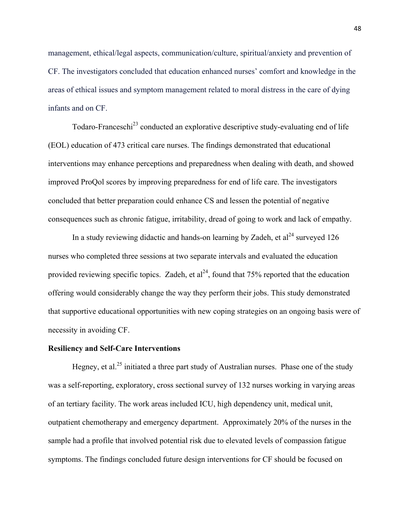management, ethical/legal aspects, communication/culture, spiritual/anxiety and prevention of CF. The investigators concluded that education enhanced nurses' comfort and knowledge in the areas of ethical issues and symptom management related to moral distress in the care of dying infants and on CF.

Todaro-Franceschi<sup>23</sup> conducted an explorative descriptive study-evaluating end of life (EOL) education of 473 critical care nurses. The findings demonstrated that educational interventions may enhance perceptions and preparedness when dealing with death, and showed improved ProQol scores by improving preparedness for end of life care. The investigators concluded that better preparation could enhance CS and lessen the potential of negative consequences such as chronic fatigue, irritability, dread of going to work and lack of empathy.

In a study reviewing didactic and hands-on learning by Zadeh, et  $al^{24}$  surveyed 126 nurses who completed three sessions at two separate intervals and evaluated the education provided reviewing specific topics. Zadeh, et  $al^{24}$ , found that 75% reported that the education offering would considerably change the way they perform their jobs. This study demonstrated that supportive educational opportunities with new coping strategies on an ongoing basis were of necessity in avoiding CF.

#### **Resiliency and Self-Care Interventions**

Hegney, et al.<sup>25</sup> initiated a three part study of Australian nurses. Phase one of the study was a self-reporting, exploratory, cross sectional survey of 132 nurses working in varying areas of an tertiary facility. The work areas included ICU, high dependency unit, medical unit, outpatient chemotherapy and emergency department. Approximately 20% of the nurses in the sample had a profile that involved potential risk due to elevated levels of compassion fatigue symptoms. The findings concluded future design interventions for CF should be focused on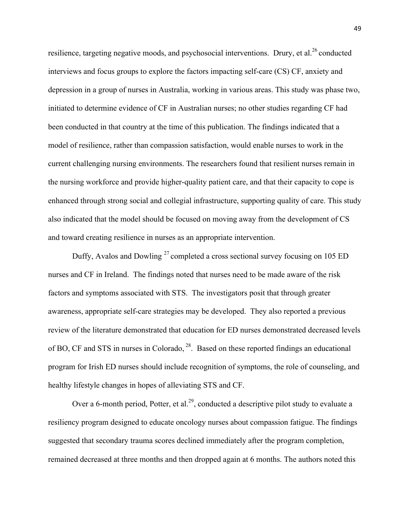resilience, targeting negative moods, and psychosocial interventions. Drury, et al.<sup>26</sup> conducted interviews and focus groups to explore the factors impacting self-care (CS) CF, anxiety and depression in a group of nurses in Australia, working in various areas. This study was phase two, initiated to determine evidence of CF in Australian nurses; no other studies regarding CF had been conducted in that country at the time of this publication. The findings indicated that a model of resilience, rather than compassion satisfaction, would enable nurses to work in the current challenging nursing environments. The researchers found that resilient nurses remain in the nursing workforce and provide higher-quality patient care, and that their capacity to cope is enhanced through strong social and collegial infrastructure, supporting quality of care. This study also indicated that the model should be focused on moving away from the development of CS and toward creating resilience in nurses as an appropriate intervention.

Duffy, Avalos and Dowling  $^{27}$  completed a cross sectional survey focusing on 105 ED nurses and CF in Ireland. The findings noted that nurses need to be made aware of the risk factors and symptoms associated with STS. The investigators posit that through greater awareness, appropriate self-care strategies may be developed. They also reported a previous review of the literature demonstrated that education for ED nurses demonstrated decreased levels of BO, CF and STS in nurses in Colorado, 28. Based on these reported findings an educational program for Irish ED nurses should include recognition of symptoms, the role of counseling, and healthy lifestyle changes in hopes of alleviating STS and CF.

Over a 6-month period, Potter, et al.<sup>29</sup>, conducted a descriptive pilot study to evaluate a resiliency program designed to educate oncology nurses about compassion fatigue. The findings suggested that secondary trauma scores declined immediately after the program completion, remained decreased at three months and then dropped again at 6 months. The authors noted this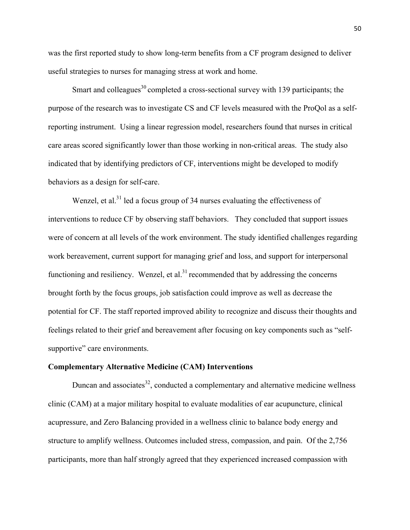was the first reported study to show long-term benefits from a CF program designed to deliver useful strategies to nurses for managing stress at work and home.

Smart and colleagues<sup>30</sup> completed a cross-sectional survey with 139 participants; the purpose of the research was to investigate CS and CF levels measured with the ProQol as a selfreporting instrument. Using a linear regression model, researchers found that nurses in critical care areas scored significantly lower than those working in non-critical areas. The study also indicated that by identifying predictors of CF, interventions might be developed to modify behaviors as a design for self-care.

Wenzel, et al. $31$  led a focus group of 34 nurses evaluating the effectiveness of interventions to reduce CF by observing staff behaviors. They concluded that support issues were of concern at all levels of the work environment. The study identified challenges regarding work bereavement, current support for managing grief and loss, and support for interpersonal functioning and resiliency. Wenzel, et al.<sup>31</sup> recommended that by addressing the concerns brought forth by the focus groups, job satisfaction could improve as well as decrease the potential for CF. The staff reported improved ability to recognize and discuss their thoughts and feelings related to their grief and bereavement after focusing on key components such as "selfsupportive" care environments.

#### **Complementary Alternative Medicine (CAM) Interventions**

Duncan and associates $^{32}$ , conducted a complementary and alternative medicine wellness clinic (CAM) at a major military hospital to evaluate modalities of ear acupuncture, clinical acupressure, and Zero Balancing provided in a wellness clinic to balance body energy and structure to amplify wellness. Outcomes included stress, compassion, and pain. Of the 2,756 participants, more than half strongly agreed that they experienced increased compassion with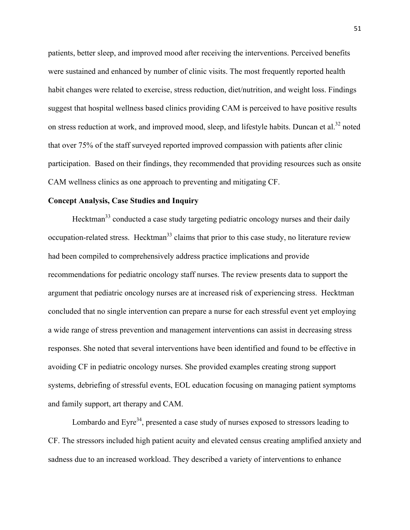patients, better sleep, and improved mood after receiving the interventions. Perceived benefits were sustained and enhanced by number of clinic visits. The most frequently reported health habit changes were related to exercise, stress reduction, diet/nutrition, and weight loss. Findings suggest that hospital wellness based clinics providing CAM is perceived to have positive results on stress reduction at work, and improved mood, sleep, and lifestyle habits. Duncan et al.<sup>32</sup> noted that over 75% of the staff surveyed reported improved compassion with patients after clinic participation. Based on their findings, they recommended that providing resources such as onsite CAM wellness clinics as one approach to preventing and mitigating CF.

## **Concept Analysis, Case Studies and Inquiry**

Hecktman<sup>33</sup> conducted a case study targeting pediatric oncology nurses and their daily occupation-related stress. Hecktman<sup>33</sup> claims that prior to this case study, no literature review had been compiled to comprehensively address practice implications and provide recommendations for pediatric oncology staff nurses. The review presents data to support the argument that pediatric oncology nurses are at increased risk of experiencing stress. Hecktman concluded that no single intervention can prepare a nurse for each stressful event yet employing a wide range of stress prevention and management interventions can assist in decreasing stress responses. She noted that several interventions have been identified and found to be effective in avoiding CF in pediatric oncology nurses. She provided examples creating strong support systems, debriefing of stressful events, EOL education focusing on managing patient symptoms and family support, art therapy and CAM.

Lombardo and Eyre<sup>34</sup>, presented a case study of nurses exposed to stressors leading to CF. The stressors included high patient acuity and elevated census creating amplified anxiety and sadness due to an increased workload. They described a variety of interventions to enhance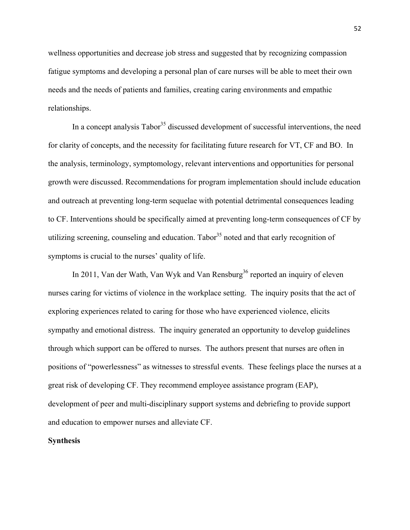wellness opportunities and decrease job stress and suggested that by recognizing compassion fatigue symptoms and developing a personal plan of care nurses will be able to meet their own needs and the needs of patients and families, creating caring environments and empathic relationships.

In a concept analysis  $Tabor<sup>35</sup>$  discussed development of successful interventions, the need for clarity of concepts, and the necessity for facilitating future research for VT, CF and BO. In the analysis, terminology, symptomology, relevant interventions and opportunities for personal growth were discussed. Recommendations for program implementation should include education and outreach at preventing long-term sequelae with potential detrimental consequences leading to CF. Interventions should be specifically aimed at preventing long-term consequences of CF by utilizing screening, counseling and education. Tabor  $35$  noted and that early recognition of symptoms is crucial to the nurses' quality of life.

In 2011, Van der Wath, Van Wyk and Van Rensburg<sup>36</sup> reported an inquiry of eleven nurses caring for victims of violence in the workplace setting. The inquiry posits that the act of exploring experiences related to caring for those who have experienced violence, elicits sympathy and emotional distress. The inquiry generated an opportunity to develop guidelines through which support can be offered to nurses. The authors present that nurses are often in positions of "powerlessness" as witnesses to stressful events. These feelings place the nurses at a great risk of developing CF. They recommend employee assistance program (EAP), development of peer and multi-disciplinary support systems and debriefing to provide support and education to empower nurses and alleviate CF.

#### **Synthesis**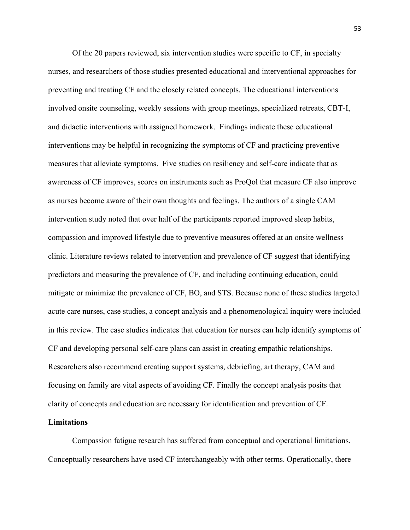Of the 20 papers reviewed, six intervention studies were specific to CF, in specialty nurses, and researchers of those studies presented educational and interventional approaches for preventing and treating CF and the closely related concepts. The educational interventions involved onsite counseling, weekly sessions with group meetings, specialized retreats, CBT-I, and didactic interventions with assigned homework. Findings indicate these educational interventions may be helpful in recognizing the symptoms of CF and practicing preventive measures that alleviate symptoms. Five studies on resiliency and self-care indicate that as awareness of CF improves, scores on instruments such as ProQol that measure CF also improve as nurses become aware of their own thoughts and feelings. The authors of a single CAM intervention study noted that over half of the participants reported improved sleep habits, compassion and improved lifestyle due to preventive measures offered at an onsite wellness clinic. Literature reviews related to intervention and prevalence of CF suggest that identifying predictors and measuring the prevalence of CF, and including continuing education, could mitigate or minimize the prevalence of CF, BO, and STS. Because none of these studies targeted acute care nurses, case studies, a concept analysis and a phenomenological inquiry were included in this review. The case studies indicates that education for nurses can help identify symptoms of CF and developing personal self-care plans can assist in creating empathic relationships. Researchers also recommend creating support systems, debriefing, art therapy, CAM and focusing on family are vital aspects of avoiding CF. Finally the concept analysis posits that clarity of concepts and education are necessary for identification and prevention of CF.

## **Limitations**

Compassion fatigue research has suffered from conceptual and operational limitations. Conceptually researchers have used CF interchangeably with other terms. Operationally, there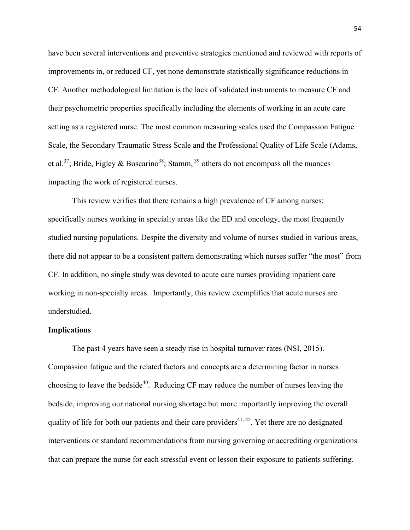have been several interventions and preventive strategies mentioned and reviewed with reports of improvements in, or reduced CF, yet none demonstrate statistically significance reductions in CF. Another methodological limitation is the lack of validated instruments to measure CF and their psychometric properties specifically including the elements of working in an acute care setting as a registered nurse. The most common measuring scales used the Compassion Fatigue Scale, the Secondary Traumatic Stress Scale and the Professional Quality of Life Scale (Adams, et al.<sup>37</sup>; Bride, Figley & Boscarino<sup>38</sup>; Stamm, <sup>39</sup> others do not encompass all the nuances impacting the work of registered nurses.

This review verifies that there remains a high prevalence of CF among nurses; specifically nurses working in specialty areas like the ED and oncology, the most frequently studied nursing populations. Despite the diversity and volume of nurses studied in various areas, there did not appear to be a consistent pattern demonstrating which nurses suffer "the most" from CF. In addition, no single study was devoted to acute care nurses providing inpatient care working in non-specialty areas. Importantly, this review exemplifies that acute nurses are understudied.

#### **Implications**

The past 4 years have seen a steady rise in hospital turnover rates (NSI, 2015). Compassion fatigue and the related factors and concepts are a determining factor in nurses choosing to leave the bedside<sup>40</sup>. Reducing CF may reduce the number of nurses leaving the bedside, improving our national nursing shortage but more importantly improving the overall quality of life for both our patients and their care providers<sup>41, 42</sup>. Yet there are no designated interventions or standard recommendations from nursing governing or accrediting organizations that can prepare the nurse for each stressful event or lesson their exposure to patients suffering.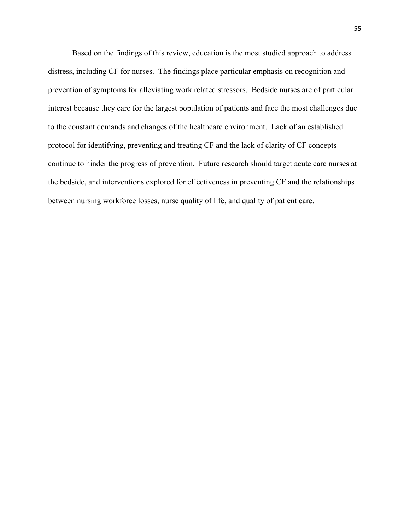Based on the findings of this review, education is the most studied approach to address distress, including CF for nurses. The findings place particular emphasis on recognition and prevention of symptoms for alleviating work related stressors. Bedside nurses are of particular interest because they care for the largest population of patients and face the most challenges due to the constant demands and changes of the healthcare environment. Lack of an established protocol for identifying, preventing and treating CF and the lack of clarity of CF concepts continue to hinder the progress of prevention. Future research should target acute care nurses at the bedside, and interventions explored for effectiveness in preventing CF and the relationships between nursing workforce losses, nurse quality of life, and quality of patient care.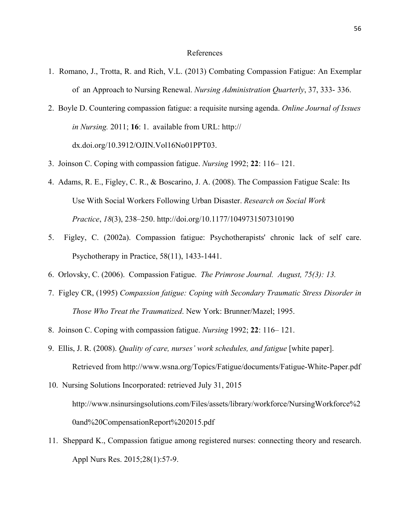#### References

- 1. Romano, J., Trotta, R. and Rich, V.L. (2013) Combating Compassion Fatigue: An Exemplar of an Approach to Nursing Renewal. *Nursing Administration Quarterly*, 37, 333- 336.
- 2. Boyle D. Countering compassion fatigue: a requisite nursing agenda. *Online Journal of Issues in Nursing.* 2011; **16**: 1. available from URL: http:// dx.doi.org/10.3912/OJIN.Vol16No01PPT03.
- 3. Joinson C. Coping with compassion fatigue. *Nursing* 1992; **22**: 116– 121.
- 4. Adams, R. E., Figley, C. R., & Boscarino, J. A. (2008). The Compassion Fatigue Scale: Its Use With Social Workers Following Urban Disaster. *Research on Social Work Practice*, *18*(3), 238–250. http://doi.org/10.1177/1049731507310190
- 5. Figley, C. (2002a). Compassion fatigue: Psychotherapists' chronic lack of self care. Psychotherapy in Practice, 58(11), 1433-1441.
- 6. Orlovsky, C. (2006). Compassion Fatigue. *The Primrose Journal. August, 75(3): 13.*
- 7.Figley CR, (1995) *Compassion fatigue: Coping with Secondary Traumatic Stress Disorder in Those Who Treat the Traumatized*. New York: Brunner/Mazel; 1995.
- 8. Joinson C. Coping with compassion fatigue. *Nursing* 1992; **22**: 116– 121.
- 9. Ellis, J. R. (2008). *Quality of care, nurses' work schedules, and fatigue* [white paper]. Retrieved from http://www.wsna.org/Topics/Fatigue/documents/Fatigue-White-Paper.pdf
- 10. Nursing Solutions Incorporated: retrieved July 31, 2015 http://www.nsinursingsolutions.com/Files/assets/library/workforce/NursingWorkforce%2 0and%20CompensationReport%202015.pdf
- 11. Sheppard K., Compassion fatigue among registered nurses: connecting theory and research. Appl Nurs Res. 2015;28(1):57-9.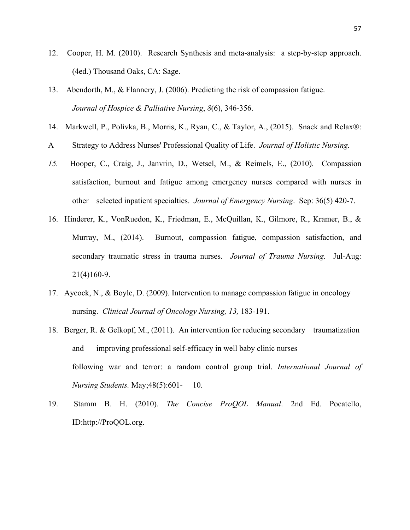- 12. Cooper, H. M. (2010). Research Synthesis and meta-analysis: a step-by-step approach. (4ed.) Thousand Oaks, CA: Sage.
- 13. Abendorth, M., & Flannery, J. (2006). Predicting the risk of compassion fatigue. *Journal of Hospice & Palliative Nursing*, *8*(6), 346-356.
- 14. Markwell, P., Polivka, B., Morris, K., Ryan, C., & Taylor, A., (2015). Snack and Relax®:
- A Strategy to Address Nurses' Professional Quality of Life. *Journal of Holistic Nursing.*
- *15.* Hooper, C., Craig, J., Janvrin, D., Wetsel, M., & Reimels, E., (2010). Compassion satisfaction, burnout and fatigue among emergency nurses compared with nurses in other selected inpatient specialties. *Journal of Emergency Nursing*. Sep: 36(5) 420-7.
- 16. Hinderer, K., VonRuedon, K., Friedman, E., McQuillan, K., Gilmore, R., Kramer, B., & Murray, M., (2014). Burnout, compassion fatigue, compassion satisfaction, and secondary traumatic stress in trauma nurses. *Journal of Trauma Nursing.* Jul-Aug: 21(4)160-9.
- 17. Aycock, N., & Boyle, D. (2009). Intervention to manage compassion fatigue in oncology nursing. *Clinical Journal of Oncology Nursing, 13,* 183-191.
- 18. Berger, R. & Gelkopf, M., (2011). An intervention for reducing secondary traumatization and improving professional self-efficacy in well baby clinic nurses following war and terror: a random control group trial. *International Journal of Nursing Students.* May;48(5):601- 10.
- 19. Stamm B. H. (2010). *The Concise ProQOL Manual*. 2nd Ed. Pocatello, ID:http://ProQOL.org.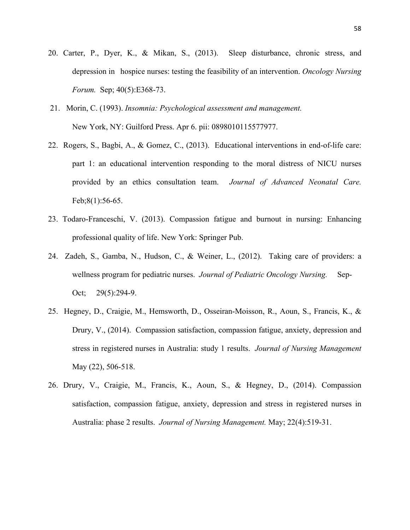- 20. Carter, P., Dyer, K., & Mikan, S., (2013). Sleep disturbance, chronic stress, and depression in hospice nurses: testing the feasibility of an intervention. *Oncology Nursing Forum.* Sep; 40(5):E368-73.
- 21. Morin, C. (1993). *Insomnia: Psychological assessment and management.* New York, NY: Guilford Press. Apr 6. pii: 0898010115577977.
- 22. Rogers, S., Bagbi, A., & Gomez, C., (2013). Educational interventions in end-of-life care: part 1: an educational intervention responding to the moral distress of NICU nurses provided by an ethics consultation team. *Journal of Advanced Neonatal Care.*  Feb;8(1):56-65.
- 23. Todaro-Franceschi, V. (2013). Compassion fatigue and burnout in nursing: Enhancing professional quality of life. New York: Springer Pub.
- 24. Zadeh, S., Gamba, N., Hudson, C., & Weiner, L., (2012). Taking care of providers: a wellness program for pediatric nurses. *Journal of Pediatric Oncology Nursing.* Sep-Oct; 29(5):294-9.
- 25. Hegney, D., Craigie, M., Hemsworth, D., Osseiran-Moisson, R., Aoun, S., Francis, K., & Drury, V., (2014). Compassion satisfaction, compassion fatigue, anxiety, depression and stress in registered nurses in Australia: study 1 results. *Journal of Nursing Management*  May (22), 506-518.
- 26. Drury, V., Craigie, M., Francis, K., Aoun, S., & Hegney, D., (2014). Compassion satisfaction, compassion fatigue, anxiety, depression and stress in registered nurses in Australia: phase 2 results. *Journal of Nursing Management.* May; 22(4):519-31.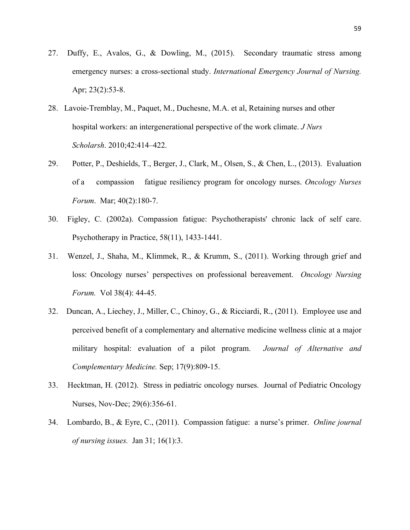- 27. Duffy, E., Avalos, G., & Dowling, M., (2015). Secondary traumatic stress among emergency nurses: a cross-sectional study. *International Emergency Journal of Nursing.*  Apr; 23(2):53-8.
- 28. Lavoie-Tremblay, M., Paquet, M., Duchesne, M.A. et al, Retaining nurses and other hospital workers: an intergenerational perspective of the work climate. *J Nurs Scholarsh*. 2010;42:414–422.
- 29. Potter, P., Deshields, T., Berger, J., Clark, M., Olsen, S., & Chen, L., (2013). Evaluation of a compassion fatigue resiliency program for oncology nurses. *Oncology Nurses Forum*. Mar; 40(2):180-7.
- 30. Figley, C. (2002a). Compassion fatigue: Psychotherapists' chronic lack of self care. Psychotherapy in Practice, 58(11), 1433-1441.
- 31. Wenzel, J., Shaha, M., Klimmek, R., & Krumm, S., (2011). Working through grief and loss: Oncology nurses' perspectives on professional bereavement. *Oncology Nursing Forum.* Vol 38(4): 44-45.
- 32. Duncan, A., Liechey, J., Miller, C., Chinoy, G., & Ricciardi, R., (2011). Employee use and perceived benefit of a complementary and alternative medicine wellness clinic at a major military hospital: evaluation of a pilot program. *Journal of Alternative and Complementary Medicine.* Sep; 17(9):809-15.
- 33. Hecktman, H. (2012). Stress in pediatric oncology nurses. Journal of Pediatric Oncology Nurses, Nov-Dec; 29(6):356-61.
- 34. Lombardo, B., & Eyre, C., (2011). Compassion fatigue: a nurse's primer. *Online journal of nursing issues.* Jan 31; 16(1):3.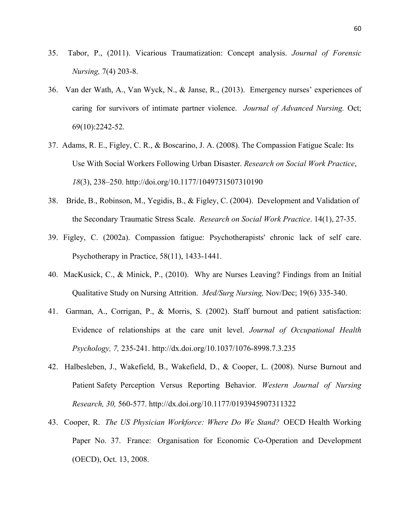- 35. Tabor, P., (2011). Vicarious Traumatization: Concept analysis. *Journal of Forensic Nursing,* 7(4) 203-8.
- 36. Van der Wath, A., Van Wyck, N., & Janse, R., (2013). Emergency nurses' experiences of caring for survivors of intimate partner violence. *Journal of Advanced Nursing.* Oct; 69(10):2242-52.
- 37. Adams, R. E., Figley, C. R., & Boscarino, J. A. (2008). The Compassion Fatigue Scale: Its Use With Social Workers Following Urban Disaster. *Research on Social Work Practice*, *18*(3), 238–250. http://doi.org/10.1177/1049731507310190
- 38. Bride, B., Robinson, M., Yegidis, B., & Figley, C. (2004). Development and Validation of the Secondary Traumatic Stress Scale. *Research on Social Work Practice*. 14(1), 27-35.
- 39. Figley, C. (2002a). Compassion fatigue: Psychotherapists' chronic lack of self care. Psychotherapy in Practice, 58(11), 1433-1441.
- 40. MacKusick, C., & Minick, P., (2010). Why are Nurses Leaving? Findings from an Initial Qualitative Study on Nursing Attrition. *Med/Surg Nursing,* Nov/Dec; 19(6) 335-340.
- 41. Garman, A., Corrigan, P., & Morris, S. (2002). Staff burnout and patient satisfaction: Evidence of relationships at the care unit level. *Journal of Occupational Health Psychology, 7,* 235-241. http://dx.doi.org/10.1037/1076-8998.7.3.235
- 42. Halbesleben, J., Wakefield, B., Wakefield, D., & Cooper, L. (2008). Nurse Burnout and Patient Safety Perception Versus Reporting Behavior. *Western Journal of Nursing Research, 30,* 560-577. http://dx.doi.org/10.1177/0193945907311322
- 43. Cooper, R. *The US Physician Workforce: Where Do We Stand?* OECD Health Working Paper No. 37. France: Organisation for Economic Co-Operation and Development (OECD), Oct. 13, 2008.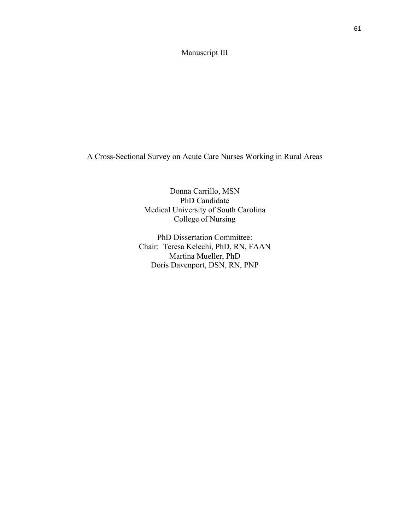# Manuscript III

A Cross-Sectional Survey on Acute Care Nurses Working in Rural Areas

Donna Carrillo, MSN PhD Candidate Medical University of South Carolina College of Nursing

PhD Dissertation Committee: Chair: Teresa Kelechi, PhD, RN, FAAN Martina Mueller, PhD Doris Davenport, DSN, RN, PNP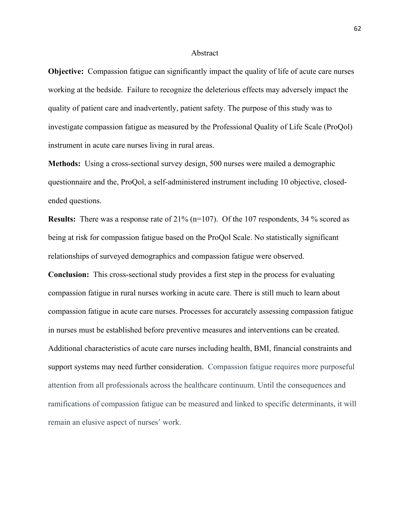#### Abstract

**Objective:** Compassion fatigue can significantly impact the quality of life of acute care nurses working at the bedside. Failure to recognize the deleterious effects may adversely impact the quality of patient care and inadvertently, patient safety. The purpose of this study was to investigate compassion fatigue as measured by the Professional Quality of Life Scale (ProQol) instrument in acute care nurses living in rural areas.

**Methods:** Using a cross-sectional survey design, 500 nurses were mailed a demographic questionnaire and the, ProQol, a self-administered instrument including 10 objective, closedended questions.

**Results:** There was a response rate of 21% (n=107). Of the 107 respondents, 34 % scored as being at risk for compassion fatigue based on the ProQol Scale. No statistically significant relationships of surveyed demographics and compassion fatigue were observed.

**Conclusion:** This cross-sectional study provides a first step in the process for evaluating compassion fatigue in rural nurses working in acute care. There is still much to learn about compassion fatigue in acute care nurses. Processes for accurately assessing compassion fatigue in nurses must be established before preventive measures and interventions can be created. Additional characteristics of acute care nurses including health, BMI, financial constraints and support systems may need further consideration. Compassion fatigue requires more purposeful attention from all professionals across the healthcare continuum. Until the consequences and ramifications of compassion fatigue can be measured and linked to specific determinants, it will remain an elusive aspect of nurses' work.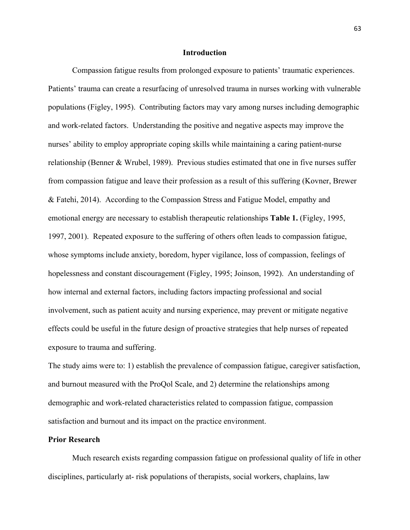#### **Introduction**

Compassion fatigue results from prolonged exposure to patients' traumatic experiences. Patients' trauma can create a resurfacing of unresolved trauma in nurses working with vulnerable populations (Figley, 1995). Contributing factors may vary among nurses including demographic and work-related factors. Understanding the positive and negative aspects may improve the nurses' ability to employ appropriate coping skills while maintaining a caring patient-nurse relationship (Benner & Wrubel, 1989). Previous studies estimated that one in five nurses suffer from compassion fatigue and leave their profession as a result of this suffering (Kovner, Brewer & Fatehi, 2014). According to the Compassion Stress and Fatigue Model, empathy and emotional energy are necessary to establish therapeutic relationships **Table 1.** (Figley, 1995, 1997, 2001). Repeated exposure to the suffering of others often leads to compassion fatigue, whose symptoms include anxiety, boredom, hyper vigilance, loss of compassion, feelings of hopelessness and constant discouragement (Figley, 1995; Joinson, 1992). An understanding of how internal and external factors, including factors impacting professional and social involvement, such as patient acuity and nursing experience, may prevent or mitigate negative effects could be useful in the future design of proactive strategies that help nurses of repeated exposure to trauma and suffering.

The study aims were to: 1) establish the prevalence of compassion fatigue, caregiver satisfaction, and burnout measured with the ProQol Scale, and 2) determine the relationships among demographic and work-related characteristics related to compassion fatigue, compassion satisfaction and burnout and its impact on the practice environment.

## **Prior Research**

Much research exists regarding compassion fatigue on professional quality of life in other disciplines, particularly at- risk populations of therapists, social workers, chaplains, law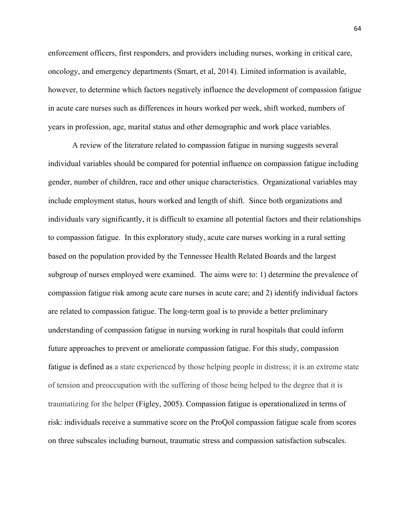enforcement officers, first responders, and providers including nurses, working in critical care, oncology, and emergency departments (Smart, et al, 2014). Limited information is available, however, to determine which factors negatively influence the development of compassion fatigue in acute care nurses such as differences in hours worked per week, shift worked, numbers of years in profession, age, marital status and other demographic and work place variables.

A review of the literature related to compassion fatigue in nursing suggests several individual variables should be compared for potential influence on compassion fatigue including gender, number of children, race and other unique characteristics. Organizational variables may include employment status, hours worked and length of shift. Since both organizations and individuals vary significantly, it is difficult to examine all potential factors and their relationships to compassion fatigue. In this exploratory study, acute care nurses working in a rural setting based on the population provided by the Tennessee Health Related Boards and the largest subgroup of nurses employed were examined. The aims were to: 1) determine the prevalence of compassion fatigue risk among acute care nurses in acute care; and 2) identify individual factors are related to compassion fatigue. The long-term goal is to provide a better preliminary understanding of compassion fatigue in nursing working in rural hospitals that could inform future approaches to prevent or ameliorate compassion fatigue. For this study, compassion fatigue is defined as a state experienced by those helping people in distress; it is an extreme state of tension and preoccupation with the suffering of those being helped to the degree that it is traumatizing for the helper (Figley, 2005). Compassion fatigue is operationalized in terms of risk: individuals receive a summative score on the ProQol compassion fatigue scale from scores on three subscales including burnout, traumatic stress and compassion satisfaction subscales.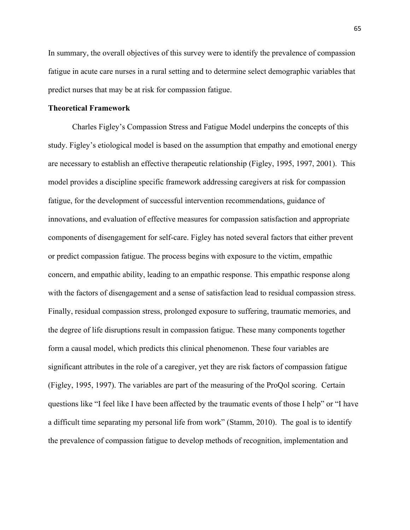In summary, the overall objectives of this survey were to identify the prevalence of compassion fatigue in acute care nurses in a rural setting and to determine select demographic variables that predict nurses that may be at risk for compassion fatigue.

## **Theoretical Framework**

Charles Figley's Compassion Stress and Fatigue Model underpins the concepts of this study. Figley's etiological model is based on the assumption that empathy and emotional energy are necessary to establish an effective therapeutic relationship (Figley, 1995, 1997, 2001). This model provides a discipline specific framework addressing caregivers at risk for compassion fatigue, for the development of successful intervention recommendations, guidance of innovations, and evaluation of effective measures for compassion satisfaction and appropriate components of disengagement for self-care. Figley has noted several factors that either prevent or predict compassion fatigue. The process begins with exposure to the victim, empathic concern, and empathic ability, leading to an empathic response. This empathic response along with the factors of disengagement and a sense of satisfaction lead to residual compassion stress. Finally, residual compassion stress, prolonged exposure to suffering, traumatic memories, and the degree of life disruptions result in compassion fatigue. These many components together form a causal model, which predicts this clinical phenomenon. These four variables are significant attributes in the role of a caregiver, yet they are risk factors of compassion fatigue (Figley, 1995, 1997). The variables are part of the measuring of the ProQol scoring. Certain questions like "I feel like I have been affected by the traumatic events of those I help" or "I have a difficult time separating my personal life from work" (Stamm, 2010). The goal is to identify the prevalence of compassion fatigue to develop methods of recognition, implementation and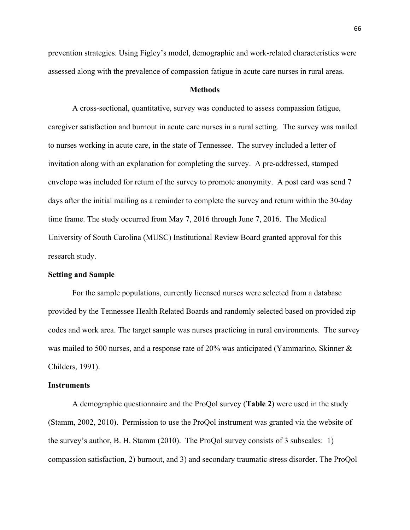prevention strategies. Using Figley's model, demographic and work-related characteristics were assessed along with the prevalence of compassion fatigue in acute care nurses in rural areas.

#### **Methods**

A cross-sectional, quantitative, survey was conducted to assess compassion fatigue, caregiver satisfaction and burnout in acute care nurses in a rural setting. The survey was mailed to nurses working in acute care, in the state of Tennessee. The survey included a letter of invitation along with an explanation for completing the survey. A pre-addressed, stamped envelope was included for return of the survey to promote anonymity. A post card was send 7 days after the initial mailing as a reminder to complete the survey and return within the 30-day time frame. The study occurred from May 7, 2016 through June 7, 2016. The Medical University of South Carolina (MUSC) Institutional Review Board granted approval for this research study.

## **Setting and Sample**

For the sample populations, currently licensed nurses were selected from a database provided by the Tennessee Health Related Boards and randomly selected based on provided zip codes and work area. The target sample was nurses practicing in rural environments. The survey was mailed to 500 nurses, and a response rate of 20% was anticipated (Yammarino, Skinner & Childers, 1991).

## **Instruments**

A demographic questionnaire and the ProQol survey (**Table 2**) were used in the study (Stamm, 2002, 2010). Permission to use the ProQol instrument was granted via the website of the survey's author, B. H. Stamm (2010). The ProQol survey consists of 3 subscales: 1) compassion satisfaction, 2) burnout, and 3) and secondary traumatic stress disorder. The ProQol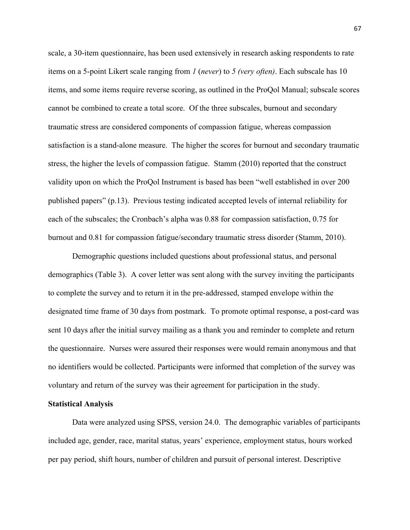scale, a 30-item questionnaire, has been used extensively in research asking respondents to rate items on a 5-point Likert scale ranging from *1* (*never*) to *5 (very often)*. Each subscale has 10 items, and some items require reverse scoring, as outlined in the ProQol Manual; subscale scores cannot be combined to create a total score. Of the three subscales, burnout and secondary traumatic stress are considered components of compassion fatigue, whereas compassion satisfaction is a stand-alone measure. The higher the scores for burnout and secondary traumatic stress, the higher the levels of compassion fatigue. Stamm (2010) reported that the construct validity upon on which the ProQol Instrument is based has been "well established in over 200 published papers" (p.13). Previous testing indicated accepted levels of internal reliability for each of the subscales; the Cronbach's alpha was 0.88 for compassion satisfaction, 0.75 for burnout and 0.81 for compassion fatigue/secondary traumatic stress disorder (Stamm, 2010).

Demographic questions included questions about professional status, and personal demographics (Table 3). A cover letter was sent along with the survey inviting the participants to complete the survey and to return it in the pre-addressed, stamped envelope within the designated time frame of 30 days from postmark. To promote optimal response, a post-card was sent 10 days after the initial survey mailing as a thank you and reminder to complete and return the questionnaire. Nurses were assured their responses were would remain anonymous and that no identifiers would be collected. Participants were informed that completion of the survey was voluntary and return of the survey was their agreement for participation in the study.

## **Statistical Analysis**

Data were analyzed using SPSS, version 24.0. The demographic variables of participants included age, gender, race, marital status, years' experience, employment status, hours worked per pay period, shift hours, number of children and pursuit of personal interest. Descriptive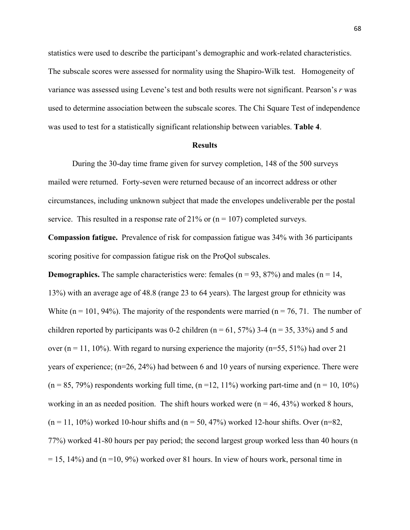statistics were used to describe the participant's demographic and work-related characteristics. The subscale scores were assessed for normality using the Shapiro-Wilk test. Homogeneity of variance was assessed using Levene's test and both results were not significant. Pearson's *r* was used to determine association between the subscale scores. The Chi Square Test of independence was used to test for a statistically significant relationship between variables. **Table 4**.

#### **Results**

During the 30-day time frame given for survey completion, 148 of the 500 surveys mailed were returned. Forty-seven were returned because of an incorrect address or other circumstances, including unknown subject that made the envelopes undeliverable per the postal service. This resulted in a response rate of 21% or  $(n = 107)$  completed surveys.

**Compassion fatigue.** Prevalence of risk for compassion fatigue was 34% with 36 participants scoring positive for compassion fatigue risk on the ProQol subscales.

**Demographics.** The sample characteristics were: females  $(n = 93, 87%)$  and males  $(n = 14, ...)$ 13%) with an average age of 48.8 (range 23 to 64 years). The largest group for ethnicity was White  $(n = 101, 94%)$ . The majority of the respondents were married  $(n = 76, 71)$ . The number of children reported by participants was 0-2 children ( $n = 61, 57\%$ ) 3-4 ( $n = 35, 33\%$ ) and 5 and over  $(n = 11, 10\%)$ . With regard to nursing experience the majority  $(n=55, 51\%)$  had over 21 years of experience; (n=26, 24%) had between 6 and 10 years of nursing experience. There were  $(n = 85, 79%)$  respondents working full time,  $(n = 12, 11%)$  working part-time and  $(n = 10, 10%)$ working in an as needed position. The shift hours worked were  $(n = 46, 43%)$  worked 8 hours,  $(n = 11, 10\%)$  worked 10-hour shifts and  $(n = 50, 47\%)$  worked 12-hour shifts. Over  $(n=82, 10\%)$ 77%) worked 41-80 hours per pay period; the second largest group worked less than 40 hours (n  $= 15$ , 14%) and (n =10, 9%) worked over 81 hours. In view of hours work, personal time in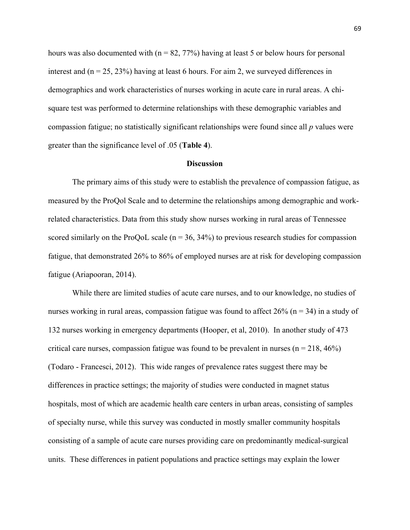hours was also documented with ( $n = 82, 77\%$ ) having at least 5 or below hours for personal interest and  $(n = 25, 23%)$  having at least 6 hours. For aim 2, we surveyed differences in demographics and work characteristics of nurses working in acute care in rural areas. A chisquare test was performed to determine relationships with these demographic variables and compassion fatigue; no statistically significant relationships were found since all *p* values were greater than the significance level of .05 (**Table 4**).

## **Discussion**

The primary aims of this study were to establish the prevalence of compassion fatigue, as measured by the ProQol Scale and to determine the relationships among demographic and workrelated characteristics. Data from this study show nurses working in rural areas of Tennessee scored similarly on the ProQoL scale ( $n = 36, 34\%$ ) to previous research studies for compassion fatigue, that demonstrated 26% to 86% of employed nurses are at risk for developing compassion fatigue (Ariapooran, 2014).

While there are limited studies of acute care nurses, and to our knowledge, no studies of nurses working in rural areas, compassion fatigue was found to affect  $26\%$  (n = 34) in a study of 132 nurses working in emergency departments (Hooper, et al, 2010). In another study of 473 critical care nurses, compassion fatigue was found to be prevalent in nurses ( $n = 218, 46\%$ ) (Todaro - Francesci, 2012). This wide ranges of prevalence rates suggest there may be differences in practice settings; the majority of studies were conducted in magnet status hospitals, most of which are academic health care centers in urban areas, consisting of samples of specialty nurse, while this survey was conducted in mostly smaller community hospitals consisting of a sample of acute care nurses providing care on predominantly medical-surgical units. These differences in patient populations and practice settings may explain the lower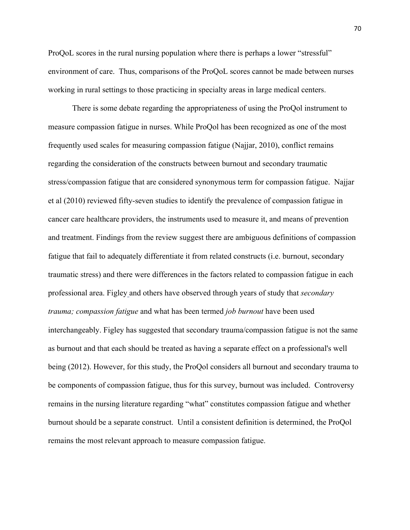ProQoL scores in the rural nursing population where there is perhaps a lower "stressful" environment of care. Thus, comparisons of the ProQoL scores cannot be made between nurses working in rural settings to those practicing in specialty areas in large medical centers.

There is some debate regarding the appropriateness of using the ProQol instrument to measure compassion fatigue in nurses. While ProQol has been recognized as one of the most frequently used scales for measuring compassion fatigue (Najjar, 2010), conflict remains regarding the consideration of the constructs between burnout and secondary traumatic stress/compassion fatigue that are considered synonymous term for compassion fatigue. Najjar et al (2010) reviewed fifty-seven studies to identify the prevalence of compassion fatigue in cancer care healthcare providers, the instruments used to measure it, and means of prevention and treatment. Findings from the review suggest there are ambiguous definitions of compassion fatigue that fail to adequately differentiate it from related constructs (i.e. burnout, secondary traumatic stress) and there were differences in the factors related to compassion fatigue in each professional area. Figley and others have observed through years of study that *secondary trauma; compassion fatigue* and what has been termed *job burnout* have been used interchangeably. Figley has suggested that secondary trauma/compassion fatigue is not the same as burnout and that each should be treated as having a separate effect on a professional's well being (2012). However, for this study, the ProQol considers all burnout and secondary trauma to be components of compassion fatigue, thus for this survey, burnout was included. Controversy remains in the nursing literature regarding "what" constitutes compassion fatigue and whether burnout should be a separate construct. Until a consistent definition is determined, the ProQol remains the most relevant approach to measure compassion fatigue.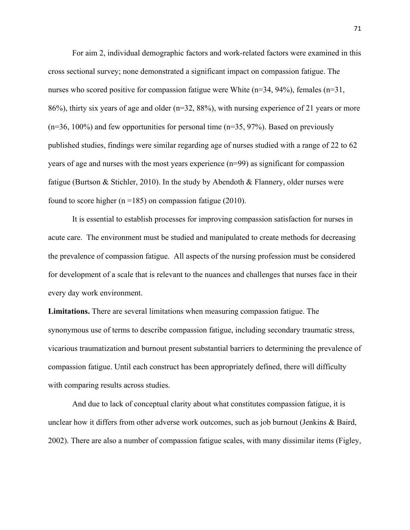For aim 2, individual demographic factors and work-related factors were examined in this cross sectional survey; none demonstrated a significant impact on compassion fatigue. The nurses who scored positive for compassion fatigue were White  $(n=34, 94\%)$ , females  $(n=31,$ 86%), thirty six years of age and older (n=32, 88%), with nursing experience of 21 years or more  $(n=36, 100\%)$  and few opportunities for personal time  $(n=35, 97\%)$ . Based on previously published studies, findings were similar regarding age of nurses studied with a range of 22 to 62 years of age and nurses with the most years experience (n=99) as significant for compassion fatigue (Burtson & Stichler, 2010). In the study by Abendoth & Flannery, older nurses were found to score higher ( $n = 185$ ) on compassion fatigue (2010).

It is essential to establish processes for improving compassion satisfaction for nurses in acute care. The environment must be studied and manipulated to create methods for decreasing the prevalence of compassion fatigue. All aspects of the nursing profession must be considered for development of a scale that is relevant to the nuances and challenges that nurses face in their every day work environment.

**Limitations.** There are several limitations when measuring compassion fatigue. The synonymous use of terms to describe compassion fatigue, including secondary traumatic stress, vicarious traumatization and burnout present substantial barriers to determining the prevalence of compassion fatigue. Until each construct has been appropriately defined, there will difficulty with comparing results across studies.

And due to lack of conceptual clarity about what constitutes compassion fatigue, it is unclear how it differs from other adverse work outcomes, such as job burnout (Jenkins & Baird, 2002). There are also a number of compassion fatigue scales, with many dissimilar items (Figley,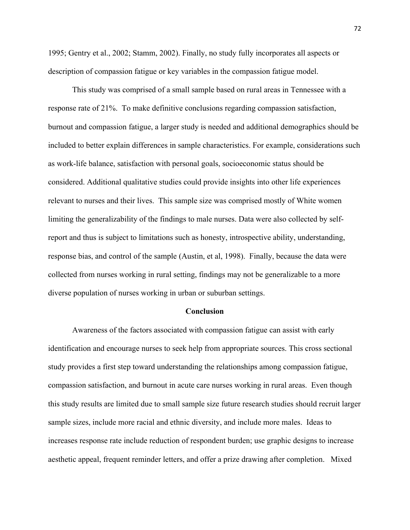1995; Gentry et al., 2002; Stamm, 2002). Finally, no study fully incorporates all aspects or description of compassion fatigue or key variables in the compassion fatigue model.

This study was comprised of a small sample based on rural areas in Tennessee with a response rate of 21%. To make definitive conclusions regarding compassion satisfaction, burnout and compassion fatigue, a larger study is needed and additional demographics should be included to better explain differences in sample characteristics. For example, considerations such as work-life balance, satisfaction with personal goals, socioeconomic status should be considered. Additional qualitative studies could provide insights into other life experiences relevant to nurses and their lives. This sample size was comprised mostly of White women limiting the generalizability of the findings to male nurses. Data were also collected by selfreport and thus is subject to limitations such as honesty, introspective ability, understanding, response bias, and control of the sample (Austin, et al, 1998). Finally, because the data were collected from nurses working in rural setting, findings may not be generalizable to a more diverse population of nurses working in urban or suburban settings.

#### **Conclusion**

Awareness of the factors associated with compassion fatigue can assist with early identification and encourage nurses to seek help from appropriate sources. This cross sectional study provides a first step toward understanding the relationships among compassion fatigue, compassion satisfaction, and burnout in acute care nurses working in rural areas. Even though this study results are limited due to small sample size future research studies should recruit larger sample sizes, include more racial and ethnic diversity, and include more males. Ideas to increases response rate include reduction of respondent burden; use graphic designs to increase aesthetic appeal, frequent reminder letters, and offer a prize drawing after completion. Mixed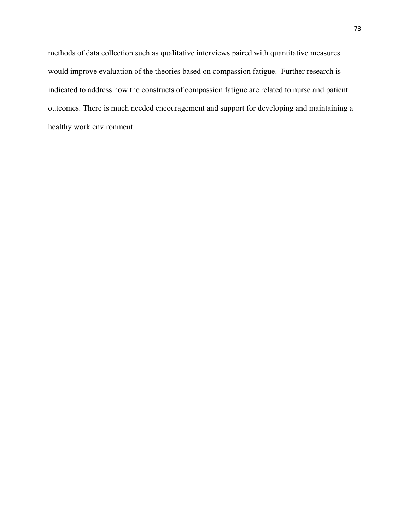methods of data collection such as qualitative interviews paired with quantitative measures would improve evaluation of the theories based on compassion fatigue. Further research is indicated to address how the constructs of compassion fatigue are related to nurse and patient outcomes. There is much needed encouragement and support for developing and maintaining a healthy work environment.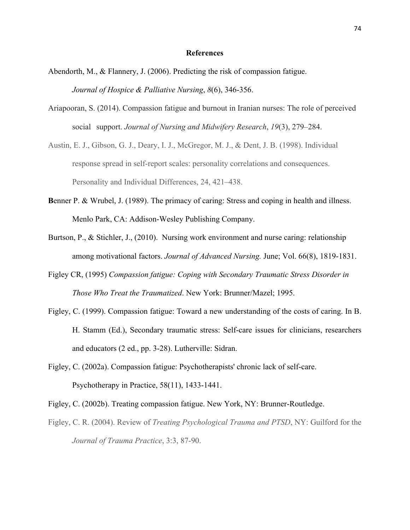#### **References**

- Abendorth, M., & Flannery, J. (2006). Predicting the risk of compassion fatigue. *Journal of Hospice & Palliative Nursing*, *8*(6), 346-356.
- Ariapooran, S. (2014). Compassion fatigue and burnout in Iranian nurses: The role of perceived social support. *Journal of Nursing and Midwifery Research*, *19*(3), 279–284.
- Austin, E. J., Gibson, G. J., Deary, I. J., McGregor, M. J., & Dent, J. B. (1998). Individual response spread in self-report scales: personality correlations and consequences. Personality and Individual Differences, 24, 421–438.
- **B**enner P. & Wrubel, J. (1989). The primacy of caring: Stress and coping in health and illness. Menlo Park, CA: Addison-Wesley Publishing Company.
- Burtson, P., & Stichler, J., (2010). Nursing work environment and nurse caring: relationship among motivational factors. *Journal of Advanced Nursing.* June; Vol. 66(8), 1819-1831.
- Figley CR, (1995) *Compassion fatigue: Coping with Secondary Traumatic Stress Disorder in Those Who Treat the Traumatized*. New York: Brunner/Mazel; 1995.
- Figley, C. (1999). Compassion fatigue: Toward a new understanding of the costs of caring. In B. H. Stamm (Ed.), Secondary traumatic stress: Self-care issues for clinicians, researchers and educators (2 ed., pp. 3-28). Lutherville: Sidran.
- Figley, C. (2002a). Compassion fatigue: Psychotherapists' chronic lack of self-care. Psychotherapy in Practice, 58(11), 1433-1441.
- Figley, C. (2002b). Treating compassion fatigue. New York, NY: Brunner-Routledge.
- Figley, C. R. (2004). Review of *Treating Psychological Trauma and PTSD*, NY: Guilford for the *Journal of Trauma Practice*, 3:3, 87-90.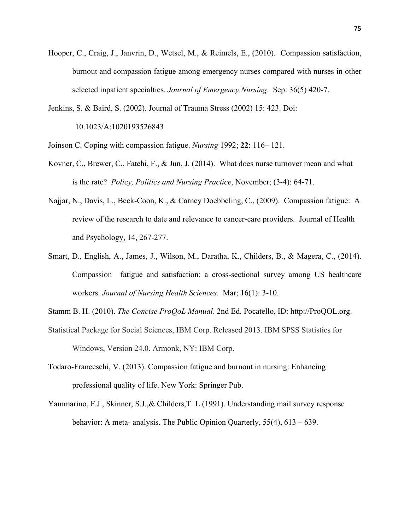- Hooper, C., Craig, J., Janvrin, D., Wetsel, M., & Reimels, E., (2010). Compassion satisfaction, burnout and compassion fatigue among emergency nurses compared with nurses in other selected inpatient specialties. *Journal of Emergency Nursing*. Sep: 36(5) 420-7.
- Jenkins, S. & Baird, S. (2002). Journal of Trauma Stress (2002) 15: 423. Doi: 10.1023/A:1020193526843
- Joinson C. Coping with compassion fatigue. *Nursing* 1992; **22**: 116– 121.
- Kovner, C., Brewer, C., Fatehi, F., & Jun, J. (2014). What does nurse turnover mean and what is the rate? *Policy, Politics and Nursing Practice*, November; (3-4): 64-71.
- Najjar, N., Davis, L., Beck-Coon, K., & Carney Doebbeling, C., (2009). Compassion fatigue: A review of the research to date and relevance to cancer-care providers. Journal of Health and Psychology, 14, 267-277.
- Smart, D., English, A., James, J., Wilson, M., Daratha, K., Childers, B., & Magera, C., (2014). Compassion fatigue and satisfaction: a cross-sectional survey among US healthcare workers. *Journal of Nursing Health Sciences.* Mar; 16(1): 3-10.

Stamm B. H. (2010). *The Concise ProQoL Manual*. 2nd Ed. Pocatello, ID: http://ProQOL.org.

- Statistical Package for Social Sciences, IBM Corp. Released 2013. IBM SPSS Statistics for Windows, Version 24.0. Armonk, NY: IBM Corp.
- Todaro-Franceschi, V. (2013). Compassion fatigue and burnout in nursing: Enhancing professional quality of life. New York: Springer Pub.
- Yammarino, F.J., Skinner, S.J.,& Childers,T .L.(1991). Understanding mail survey response behavior: A meta- analysis. The Public Opinion Quarterly, 55(4), 613 – 639.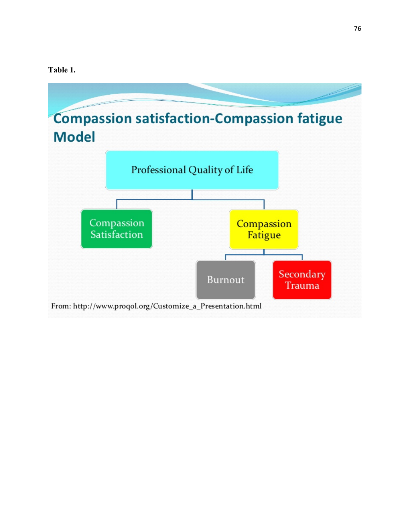# **Table 1.**

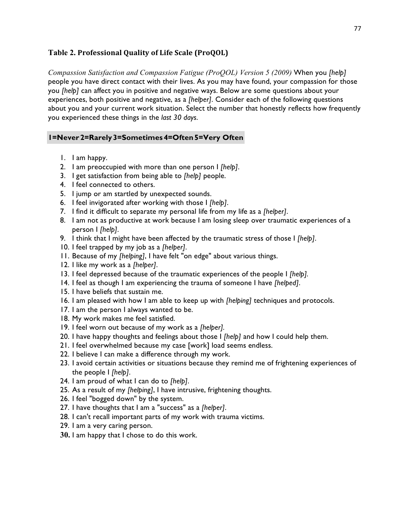# **Table 2. Professional Quality of Life Scale (ProQOL)**

*Compassion Satisfaction and Compassion Fatigue (ProQOL) Version 5 (2009)* When you *[help]*  people you have direct contact with their lives. As you may have found, your compassion for those you *[help]* can affect you in positive and negative ways. Below are some questions about your experiences, both positive and negative, as a *[helper]*. Consider each of the following questions about you and your current work situation. Select the number that honestly reflects how frequently you experienced these things in the *last 30 days*.

# **1=Never 2=Rarely 3=Sometimes 4=Often 5=Very Often**

- 1. I am happy.
- 2. I am preoccupied with more than one person I *[help]*.
- 3. I get satisfaction from being able to *[help]* people.
- 4. I feel connected to others.
- 5. I jump or am startled by unexpected sounds.
- 6. I feel invigorated after working with those I *[help]*.
- 7. I find it difficult to separate my personal life from my life as a *[helper]*.
- 8. I am not as productive at work because I am losing sleep over traumatic experiences of a person I *[help]*.
- 9. I think that I might have been affected by the traumatic stress of those I *[help]*.
- 10. I feel trapped by my job as a *[helper]*.
- 11. Because of my *[helping]*, I have felt "on edge" about various things.
- 12. I like my work as a *[helper]*.
- 13. I feel depressed because of the traumatic experiences of the people I *[help].*
- 14. I feel as though I am experiencing the trauma of someone I have *[helped]*.
- 15. I have beliefs that sustain me.
- 16. I am pleased with how I am able to keep up with *[helping]* techniques and protocols.
- 17. I am the person I always wanted to be.
- 18. My work makes me feel satisfied.
- 19. I feel worn out because of my work as a *[helper].*
- 20. I have happy thoughts and feelings about those I *[help]* and how I could help them.
- 21. I feel overwhelmed because my case [work] load seems endless.
- 22. I believe I can make a difference through my work.
- 23. I avoid certain activities or situations because they remind me of frightening experiences of the people I *[help]*.
- 24. I am proud of what I can do to *[help]*.
- 25. As a result of my *[helping]*, I have intrusive, frightening thoughts.
- 26. I feel "bogged down" by the system.
- 27. I have thoughts that I am a "success" as a *[helper]*.
- 28. I can't recall important parts of my work with trauma victims.
- 29. I am a very caring person.
- **30.** I am happy that I chose to do this work.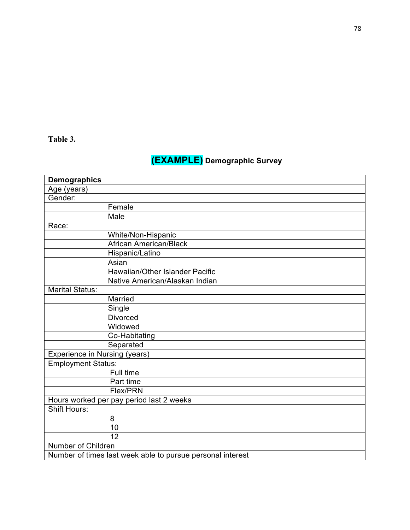# **Table 3.**

# **(EXAMPLE) Demographic Survey**

| <b>Demographics</b>           |                                                            |  |
|-------------------------------|------------------------------------------------------------|--|
| Age (years)                   |                                                            |  |
| Gender:                       |                                                            |  |
|                               | Female                                                     |  |
|                               | Male                                                       |  |
| Race:                         |                                                            |  |
|                               | White/Non-Hispanic                                         |  |
|                               | <b>African American/Black</b>                              |  |
|                               | Hispanic/Latino                                            |  |
|                               | Asian                                                      |  |
|                               | Hawaiian/Other Islander Pacific                            |  |
|                               | Native American/Alaskan Indian                             |  |
| <b>Marital Status:</b>        |                                                            |  |
|                               | Married                                                    |  |
|                               | Single                                                     |  |
|                               | <b>Divorced</b>                                            |  |
|                               | Widowed                                                    |  |
|                               | Co-Habitating                                              |  |
|                               | Separated                                                  |  |
| Experience in Nursing (years) |                                                            |  |
| <b>Employment Status:</b>     |                                                            |  |
|                               | Full time                                                  |  |
|                               | Part time                                                  |  |
|                               | Flex/PRN                                                   |  |
|                               | Hours worked per pay period last 2 weeks                   |  |
| <b>Shift Hours:</b>           |                                                            |  |
|                               | 8                                                          |  |
|                               | 10                                                         |  |
|                               | 12                                                         |  |
| Number of Children            |                                                            |  |
|                               | Number of times last week able to pursue personal interest |  |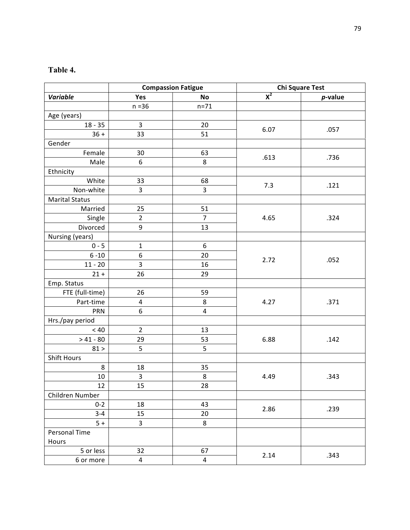# **Table 4.**

|                       | <b>Compassion Fatigue</b> |                         | <b>Chi Square Test</b> |            |
|-----------------------|---------------------------|-------------------------|------------------------|------------|
| <b>Variable</b>       | Yes                       | No                      | $\overline{X^2}$       | $p$ -value |
|                       | $n = 36$                  | $n = 71$                |                        |            |
| Age (years)           |                           |                         |                        |            |
| $18 - 35$             | $\overline{3}$            | 20                      |                        |            |
| $36 +$                | 33                        | 51                      | 6.07                   | .057       |
| Gender                |                           |                         |                        |            |
| Female                | 30                        | 63                      |                        |            |
| Male                  | 6                         | 8                       | .613                   | .736       |
| Ethnicity             |                           |                         |                        |            |
| White                 | 33                        | 68                      | 7.3                    | .121       |
| Non-white             | 3                         | $\overline{3}$          |                        |            |
| <b>Marital Status</b> |                           |                         |                        |            |
| Married               | 25                        | 51                      |                        |            |
| Single                | $\overline{2}$            | $\overline{7}$          | 4.65                   | .324       |
| Divorced              | $\boldsymbol{9}$          | 13                      |                        |            |
| Nursing (years)       |                           |                         |                        |            |
| $0 - 5$               | 1                         | 6                       |                        |            |
| $6 - 10$              | 6                         | 20                      | 2.72                   | .052       |
| $11 - 20$             | 3                         | 16                      |                        |            |
| $21 +$                | 26                        | 29                      |                        |            |
| Emp. Status           |                           |                         |                        |            |
| FTE (full-time)       | 26                        | 59                      |                        |            |
| Part-time             | $\overline{\mathbf{4}}$   | 8                       | 4.27<br>.371           |            |
| <b>PRN</b>            | 6                         | $\overline{4}$          |                        |            |
| Hrs./pay period       |                           |                         |                        |            |
| < 40                  | $\overline{2}$            | 13                      |                        |            |
| $> 41 - 80$           | 29                        | 53                      | 6.88<br>.142           |            |
| 81 >                  | 5                         | 5                       |                        |            |
| <b>Shift Hours</b>    |                           |                         |                        |            |
| 8                     | 18                        | 35                      |                        |            |
| 10                    | 3                         | 8                       | 4.49<br>.343           |            |
| 12                    | 15                        | 28                      |                        |            |
| Children Number       |                           |                         |                        |            |
| $0 - 2$               | 18                        | 43                      | 2.86                   | .239       |
| $3 - 4$               | 15                        | 20                      |                        |            |
| $5+$                  | $\overline{3}$            | 8                       |                        |            |
| Personal Time         |                           |                         |                        |            |
| Hours                 |                           |                         |                        |            |
| 5 or less             | 32                        | 67                      | 2.14                   | .343       |
| 6 or more             | $\overline{4}$            | $\overline{\mathbf{4}}$ |                        |            |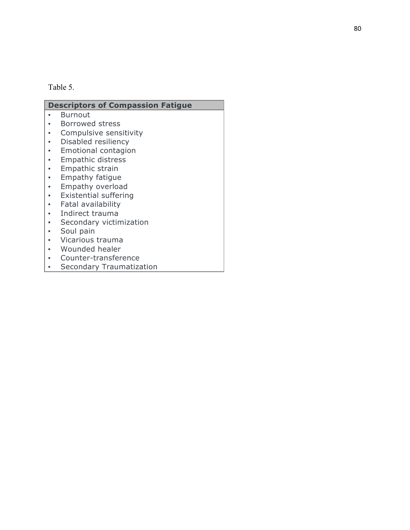# Table 5.

| <b>Descriptors of Compassion Fatigue</b> |                              |  |
|------------------------------------------|------------------------------|--|
|                                          | <b>Burnout</b>               |  |
|                                          | Borrowed stress              |  |
|                                          | Compulsive sensitivity       |  |
| ٠                                        | Disabled resiliency          |  |
| ٠                                        | Emotional contagion          |  |
|                                          | <b>Empathic distress</b>     |  |
|                                          | Empathic strain              |  |
| ٠                                        | Empathy fatigue              |  |
|                                          | Empathy overload             |  |
|                                          | <b>Existential suffering</b> |  |
|                                          | Fatal availability           |  |
|                                          | Indirect trauma              |  |
|                                          | Secondary victimization      |  |
|                                          | Soul pain                    |  |
|                                          | Vicarious trauma             |  |
|                                          | Wounded healer               |  |
|                                          | Counter-transference         |  |

**•** Secondary Traumatization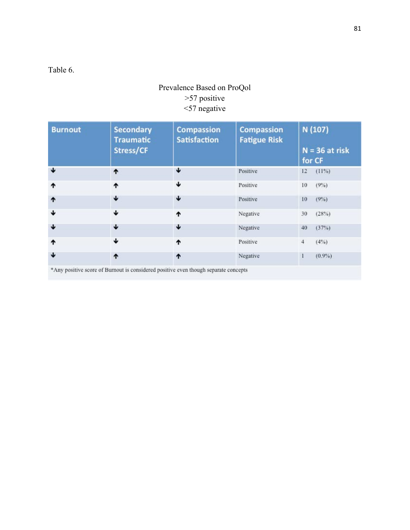Table 6.

# Prevalence Based on ProQol >57 positive <57 negative

| <b>Burnout</b> | <b>Secondary</b><br><b>Traumatic</b>                                               | <b>Compassion</b><br><b>Satisfaction</b> | <b>Compassion</b><br><b>Fatigue Risk</b> | N (107)                    |
|----------------|------------------------------------------------------------------------------------|------------------------------------------|------------------------------------------|----------------------------|
|                | Stress/CF                                                                          |                                          |                                          | $N = 36$ at risk<br>for CF |
| ↓              | ↑                                                                                  | Ψ                                        | Positive                                 | (11%)<br>12                |
| ተ              | ተ                                                                                  | ↓                                        | Positive                                 | $(9\%)$<br>10              |
| 1              | ↓                                                                                  | ↓                                        | Positive                                 | (9%)<br>10                 |
| ↓              | ↓                                                                                  | ተ                                        | Negative                                 | (28%)<br>30                |
| ↓              | ↓                                                                                  | ↓                                        | Negative                                 | 40<br>(37%)                |
| ↑              | ↓                                                                                  | ٠                                        | Positive                                 | $(4\%)$<br>$\overline{4}$  |
| ↓              | ↑                                                                                  | ^                                        | Negative                                 | $(0.9\%)$<br>1             |
|                | *Any positive sears of Rumout is considered positive even though separate concepts |                                          |                                          |                            |

\*Any positive score of Burnout is considered positive even though separate concepts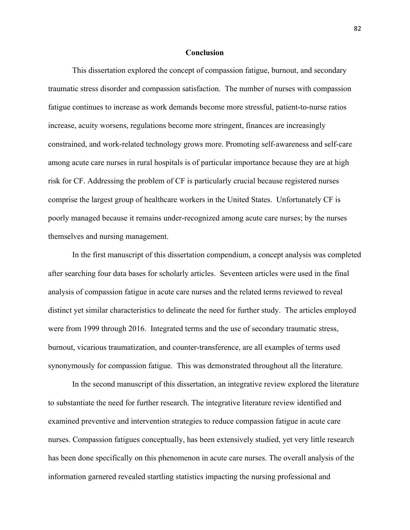### **Conclusion**

This dissertation explored the concept of compassion fatigue, burnout, and secondary traumatic stress disorder and compassion satisfaction. The number of nurses with compassion fatigue continues to increase as work demands become more stressful, patient-to-nurse ratios increase, acuity worsens, regulations become more stringent, finances are increasingly constrained, and work-related technology grows more. Promoting self-awareness and self-care among acute care nurses in rural hospitals is of particular importance because they are at high risk for CF. Addressing the problem of CF is particularly crucial because registered nurses comprise the largest group of healthcare workers in the United States. Unfortunately CF is poorly managed because it remains under-recognized among acute care nurses; by the nurses themselves and nursing management.

In the first manuscript of this dissertation compendium, a concept analysis was completed after searching four data bases for scholarly articles. Seventeen articles were used in the final analysis of compassion fatigue in acute care nurses and the related terms reviewed to reveal distinct yet similar characteristics to delineate the need for further study. The articles employed were from 1999 through 2016. Integrated terms and the use of secondary traumatic stress, burnout, vicarious traumatization, and counter-transference, are all examples of terms used synonymously for compassion fatigue. This was demonstrated throughout all the literature.

In the second manuscript of this dissertation, an integrative review explored the literature to substantiate the need for further research. The integrative literature review identified and examined preventive and intervention strategies to reduce compassion fatigue in acute care nurses. Compassion fatigues conceptually, has been extensively studied, yet very little research has been done specifically on this phenomenon in acute care nurses. The overall analysis of the information garnered revealed startling statistics impacting the nursing professional and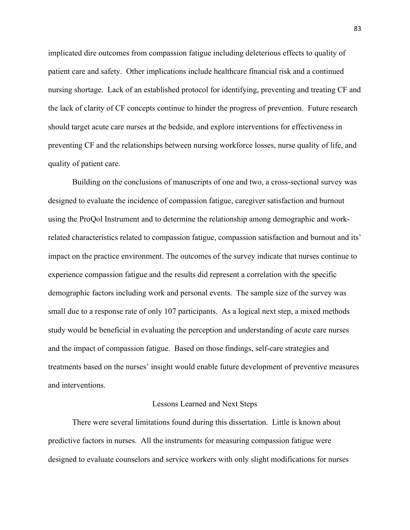implicated dire outcomes from compassion fatigue including deleterious effects to quality of patient care and safety. Other implications include healthcare financial risk and a continued nursing shortage. Lack of an established protocol for identifying, preventing and treating CF and the lack of clarity of CF concepts continue to hinder the progress of prevention. Future research should target acute care nurses at the bedside, and explore interventions for effectiveness in preventing CF and the relationships between nursing workforce losses, nurse quality of life, and quality of patient care.

Building on the conclusions of manuscripts of one and two, a cross-sectional survey was designed to evaluate the incidence of compassion fatigue, caregiver satisfaction and burnout using the ProQol Instrument and to determine the relationship among demographic and workrelated characteristics related to compassion fatigue, compassion satisfaction and burnout and its' impact on the practice environment. The outcomes of the survey indicate that nurses continue to experience compassion fatigue and the results did represent a correlation with the specific demographic factors including work and personal events. The sample size of the survey was small due to a response rate of only 107 participants. As a logical next step, a mixed methods study would be beneficial in evaluating the perception and understanding of acute care nurses and the impact of compassion fatigue. Based on those findings, self-care strategies and treatments based on the nurses' insight would enable future development of preventive measures and interventions.

#### Lessons Learned and Next Steps

There were several limitations found during this dissertation. Little is known about predictive factors in nurses. All the instruments for measuring compassion fatigue were designed to evaluate counselors and service workers with only slight modifications for nurses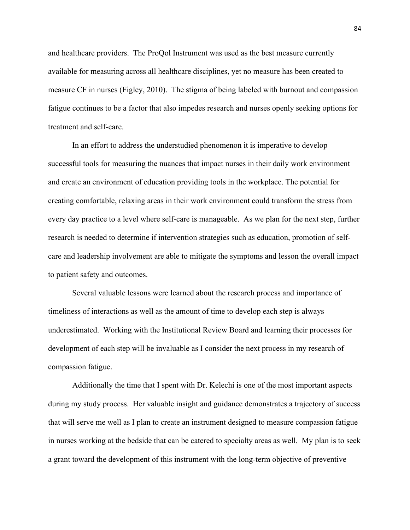and healthcare providers. The ProQol Instrument was used as the best measure currently available for measuring across all healthcare disciplines, yet no measure has been created to measure CF in nurses (Figley, 2010). The stigma of being labeled with burnout and compassion fatigue continues to be a factor that also impedes research and nurses openly seeking options for treatment and self-care.

In an effort to address the understudied phenomenon it is imperative to develop successful tools for measuring the nuances that impact nurses in their daily work environment and create an environment of education providing tools in the workplace. The potential for creating comfortable, relaxing areas in their work environment could transform the stress from every day practice to a level where self-care is manageable. As we plan for the next step, further research is needed to determine if intervention strategies such as education, promotion of selfcare and leadership involvement are able to mitigate the symptoms and lesson the overall impact to patient safety and outcomes.

Several valuable lessons were learned about the research process and importance of timeliness of interactions as well as the amount of time to develop each step is always underestimated. Working with the Institutional Review Board and learning their processes for development of each step will be invaluable as I consider the next process in my research of compassion fatigue.

Additionally the time that I spent with Dr. Kelechi is one of the most important aspects during my study process. Her valuable insight and guidance demonstrates a trajectory of success that will serve me well as I plan to create an instrument designed to measure compassion fatigue in nurses working at the bedside that can be catered to specialty areas as well. My plan is to seek a grant toward the development of this instrument with the long-term objective of preventive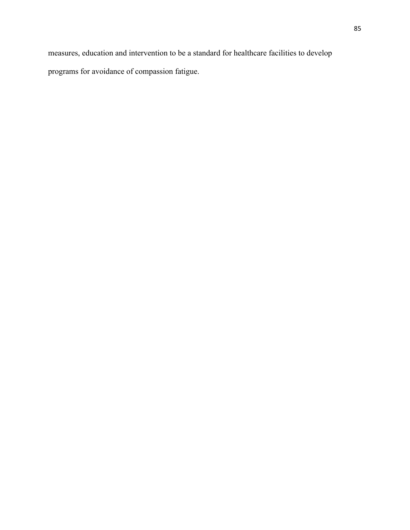measures, education and intervention to be a standard for healthcare facilities to develop programs for avoidance of compassion fatigue.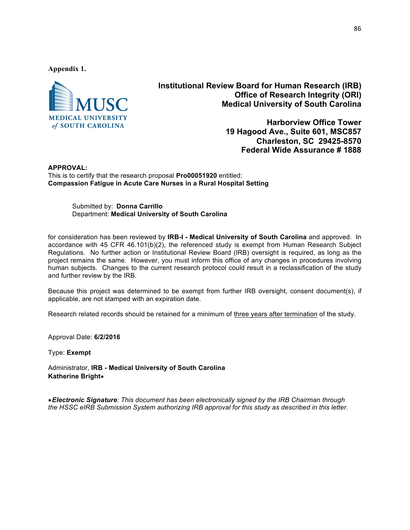**Appendix 1.**



**Institutional Review Board for Human Research (IRB) Office of Research Integrity (ORI) Medical University of South Carolina**

> **Harborview Office Tower 19 Hagood Ave., Suite 601, MSC857 Charleston, SC 29425-8570 Federal Wide Assurance # 1888**

**APPROVAL:** This is to certify that the research proposal **Pro00051920** entitled: **Compassion Fatigue in Acute Care Nurses in a Rural Hospital Setting**

> Submitted by: **Donna Carrillo** Department: **Medical University of South Carolina**

for consideration has been reviewed by **IRB-I - Medical University of South Carolina** and approved. In accordance with 45 CFR 46.101(b)(2), the referenced study is exempt from Human Research Subject Regulations. No further action or Institutional Review Board (IRB) oversight is required, as long as the project remains the same. However, you must inform this office of any changes in procedures involving human subjects. Changes to the current research protocol could result in a reclassification of the study and further review by the IRB.

Because this project was determined to be exempt from further IRB oversight, consent document(s), if applicable, are not stamped with an expiration date.

Research related records should be retained for a minimum of three years after termination of the study.

Approval Date: **6/2/2016**

Type: **Exempt**

Administrator, **IRB - Medical University of South Carolina Katherine Bright**∗

∗*Electronic Signature: This document has been electronically signed by the IRB Chairman through the HSSC eIRB Submission System authorizing IRB approval for this study as described in this letter.*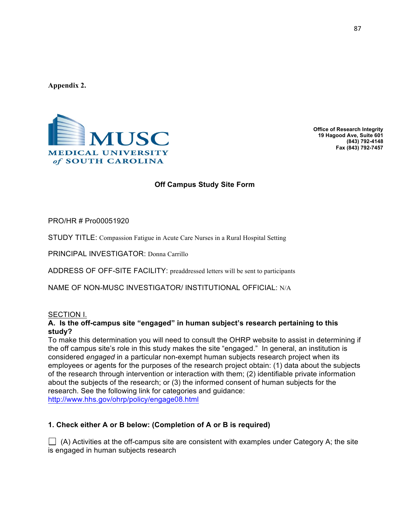**Appendix 2.**



**Office of Research Integrity 19 Hagood Ave, Suite 601 (843) 792-4148 Fax (843) 792-7457**

# **Off Campus Study Site Form**

PRO/HR # Pro00051920**Pr Pro00051920o00051920**

STUDY TITLE: Compassion Fatigue in Acute Care Nurses in a Rural Hospital Setting

PRINCIPAL INVESTIGATOR: Donna Carrillo

ADDRESS OF OFF-SITE FACILITY: preaddressed letters will be sent to participants

NAME OF NON-MUSC INVESTIGATOR/ INSTITUTIONAL OFFICIAL: N/A

#### SECTION I.

### **A. Is the off-campus site "engaged" in human subject's research pertaining to this study?**

To make this determination you will need to consult the OHRP website to assist in determining if the off campus site's role in this study makes the site "engaged." In general, an institution is considered *engaged* in a particular non-exempt human subjects research project when its employees or agents for the purposes of the research project obtain: (1) data about the subjects of the research through intervention or interaction with them; (2) identifiable private information about the subjects of the research; or (3) the informed consent of human subjects for the research. See the following link for categories and guidance: http://www.hhs.gov/ohrp/policy/engage08.html

### **1. Check either A or B below: (Completion of A or B is required)**

 $\Box$  (A) Activities at the off-campus site are consistent with examples under Category A; the site is engaged in human subjects research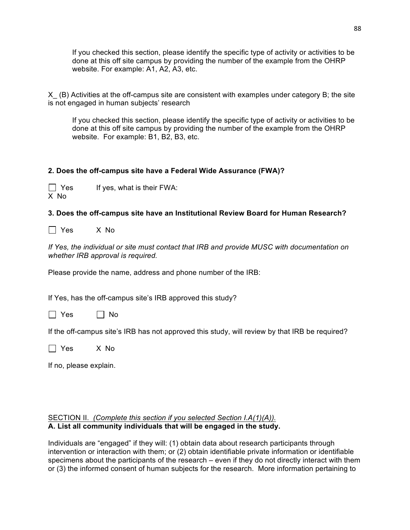If you checked this section, please identify the specific type of activity or activities to be done at this off site campus by providing the number of the example from the OHRP website. For example: A1, A2, A3, etc.

X\_ (B) Activities at the off-campus site are consistent with examples under category B; the site is not engaged in human subjects' research

If you checked this section, please identify the specific type of activity or activities to be done at this off site campus by providing the number of the example from the OHRP website. For example: B1, B2, B3, etc.

# **2. Does the off-campus site have a Federal Wide Assurance (FWA)?**

 $\Box$  Yes If yes, what is their FWA: X No

### **3. Does the off-campus site have an Institutional Review Board for Human Research?**

Yes X No

*If Yes, the individual or site must contact that IRB and provide MUSC with documentation on whether IRB approval is required.* 

Please provide the name, address and phone number of the IRB:

If Yes, has the off-campus site's IRB approved this study?

 $\Box$  Yes  $\Box$  No

If the off-campus site's IRB has not approved this study, will review by that IRB be required?

Yes X No

If no, please explain.

### SECTION II. *(Complete this section if you selected Section I.A(1)(A)).* **A. List all community individuals that will be engaged in the study.**

Individuals are "engaged" if they will: (1) obtain data about research participants through intervention or interaction with them; or (2) obtain identifiable private information or identifiable specimens about the participants of the research – even if they do not directly interact with them or (3) the informed consent of human subjects for the research. More information pertaining to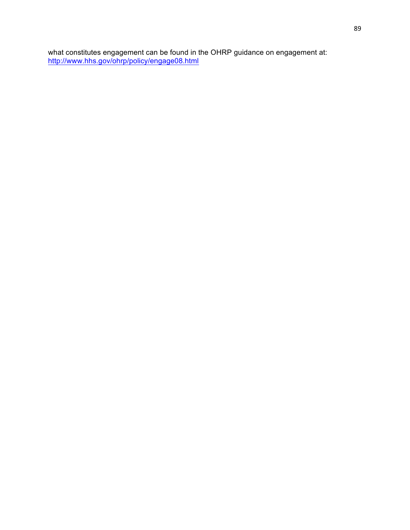what constitutes engagement can be found in the OHRP guidance on engagement at: http://www.hhs.gov/ohrp/policy/engage08.html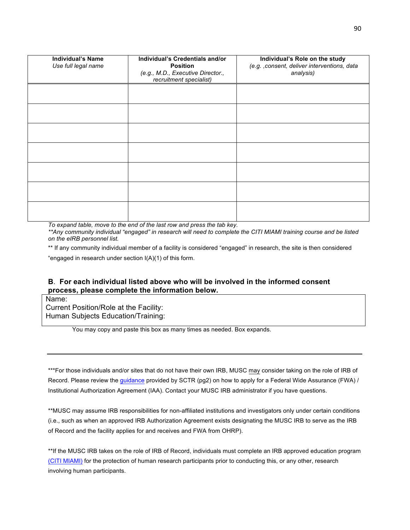| <b>Individual's Name</b><br>Use full legal name | Individual's Credentials and/or<br><b>Position</b><br>(e.g., M.D., Executive Director.,<br>recruitment specialist) | Individual's Role on the study<br>(e.g. , consent, deliver interventions, data<br>analysis) |
|-------------------------------------------------|--------------------------------------------------------------------------------------------------------------------|---------------------------------------------------------------------------------------------|
|                                                 |                                                                                                                    |                                                                                             |
|                                                 |                                                                                                                    |                                                                                             |
|                                                 |                                                                                                                    |                                                                                             |
|                                                 |                                                                                                                    |                                                                                             |
|                                                 |                                                                                                                    |                                                                                             |
|                                                 |                                                                                                                    |                                                                                             |
|                                                 |                                                                                                                    |                                                                                             |

*To expand table, move to the end of the last row and press the tab key. \*\*Any community individual "engaged" in research will need to complete the CITI MIAMI training course and be listed on the eIRB personnel list.* 

\*\* If any community individual member of a facility is considered "engaged" in research, the site is then considered

"engaged in research under section I(A)(1) of this form.

### **B**. **For each individual listed above who will be involved in the informed consent process, please complete the information below.**

Name:

Current Position/Role at the Facility: Human Subjects Education/Training:

You may copy and paste this box as many times as needed. Box expands.

\*\*\*For those individuals and/or sites that do not have their own IRB, MUSC may consider taking on the role of IRB of Record. Please review the guidance provided by SCTR (pg2) on how to apply for a Federal Wide Assurance (FWA) / Institutional Authorization Agreement (IAA). Contact your MUSC IRB administrator if you have questions.

\*\*MUSC may assume IRB responsibilities for non-affiliated institutions and investigators only under certain conditions (i.e., such as when an approved IRB Authorization Agreement exists designating the MUSC IRB to serve as the IRB of Record and the facility applies for and receives and FWA from OHRP).

\*\*If the MUSC IRB takes on the role of IRB of Record, individuals must complete an IRB approved education program (CITI MIAMI) for the protection of human research participants prior to conducting this, or any other, research involving human participants.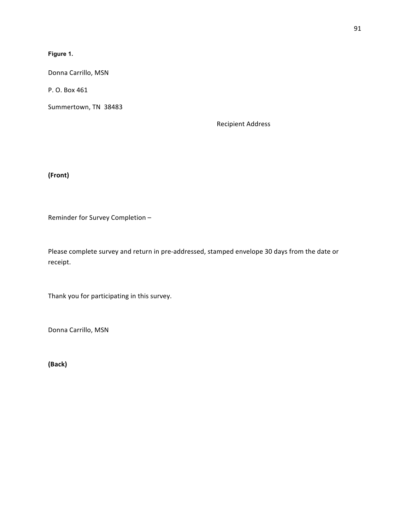### **Figure 1.**

Donna Carrillo, MSN

P. O. Box 461

Summertown, TN 38483

Recipient Address

**(Front)**

Reminder for Survey Completion -

Please complete survey and return in pre-addressed, stamped envelope 30 days from the date or receipt.

Thank you for participating in this survey.

Donna Carrillo, MSN

**(Back)**